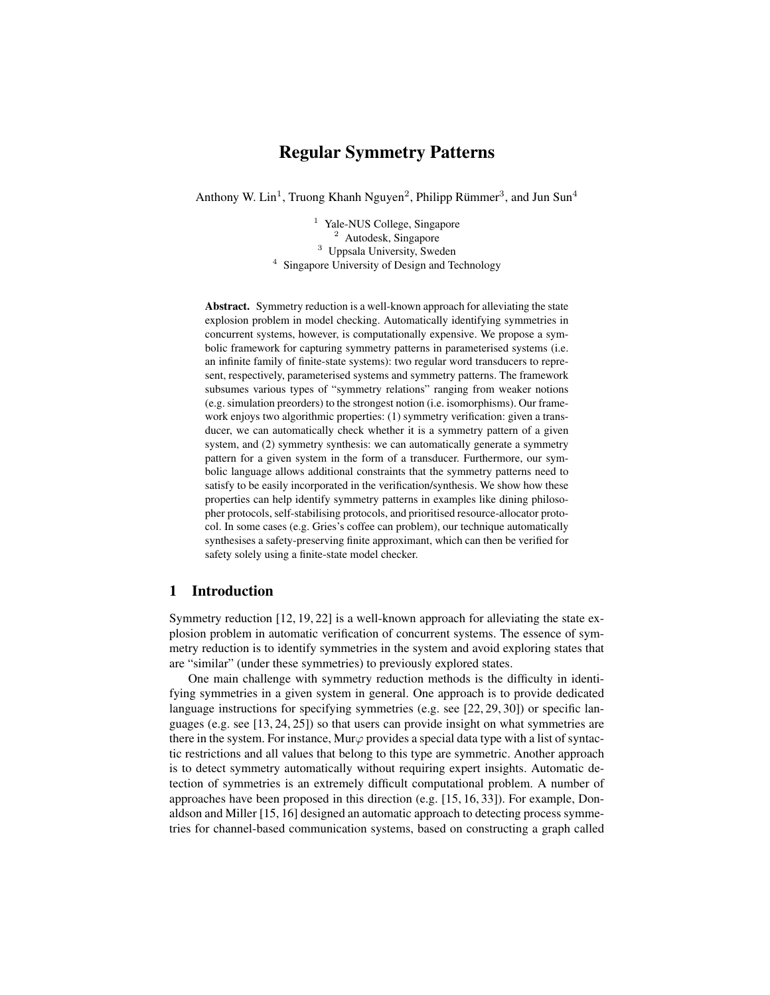# Regular Symmetry Patterns

Anthony W. Lin<sup>1</sup>, Truong Khanh Nguyen<sup>2</sup>, Philipp Rümmer<sup>3</sup>, and Jun Sun<sup>4</sup>

<sup>1</sup> Yale-NUS College, Singapore <sup>2</sup> Autodesk, Singapore <sup>3</sup> Uppsala University, Sweden <sup>4</sup> Singapore University of Design and Technology

Abstract. Symmetry reduction is a well-known approach for alleviating the state explosion problem in model checking. Automatically identifying symmetries in concurrent systems, however, is computationally expensive. We propose a symbolic framework for capturing symmetry patterns in parameterised systems (i.e. an infinite family of finite-state systems): two regular word transducers to represent, respectively, parameterised systems and symmetry patterns. The framework subsumes various types of "symmetry relations" ranging from weaker notions (e.g. simulation preorders) to the strongest notion (i.e. isomorphisms). Our framework enjoys two algorithmic properties: (1) symmetry verification: given a transducer, we can automatically check whether it is a symmetry pattern of a given system, and (2) symmetry synthesis: we can automatically generate a symmetry pattern for a given system in the form of a transducer. Furthermore, our symbolic language allows additional constraints that the symmetry patterns need to satisfy to be easily incorporated in the verification/synthesis. We show how these properties can help identify symmetry patterns in examples like dining philosopher protocols, self-stabilising protocols, and prioritised resource-allocator protocol. In some cases (e.g. Gries's coffee can problem), our technique automatically synthesises a safety-preserving finite approximant, which can then be verified for safety solely using a finite-state model checker.

# 1 Introduction

Symmetry reduction [12, 19, 22] is a well-known approach for alleviating the state explosion problem in automatic verification of concurrent systems. The essence of symmetry reduction is to identify symmetries in the system and avoid exploring states that are "similar" (under these symmetries) to previously explored states.

One main challenge with symmetry reduction methods is the difficulty in identifying symmetries in a given system in general. One approach is to provide dedicated language instructions for specifying symmetries (e.g. see [22, 29, 30]) or specific languages (e.g. see [13, 24, 25]) so that users can provide insight on what symmetries are there in the system. For instance, Mur $\varphi$  provides a special data type with a list of syntactic restrictions and all values that belong to this type are symmetric. Another approach is to detect symmetry automatically without requiring expert insights. Automatic detection of symmetries is an extremely difficult computational problem. A number of approaches have been proposed in this direction (e.g. [15, 16, 33]). For example, Donaldson and Miller [15, 16] designed an automatic approach to detecting process symmetries for channel-based communication systems, based on constructing a graph called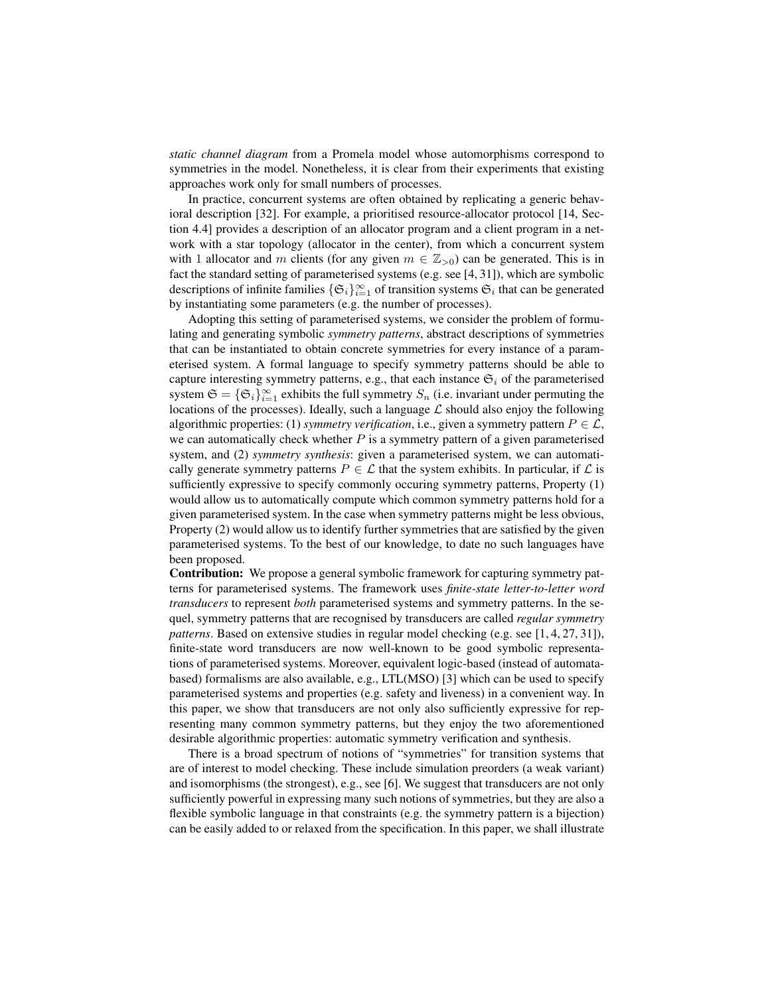*static channel diagram* from a Promela model whose automorphisms correspond to symmetries in the model. Nonetheless, it is clear from their experiments that existing approaches work only for small numbers of processes.

In practice, concurrent systems are often obtained by replicating a generic behavioral description [32]. For example, a prioritised resource-allocator protocol [14, Section 4.4] provides a description of an allocator program and a client program in a network with a star topology (allocator in the center), from which a concurrent system with 1 allocator and m clients (for any given  $m \in \mathbb{Z}_{>0}$ ) can be generated. This is in fact the standard setting of parameterised systems (e.g. see [4, 31]), which are symbolic descriptions of infinite families  $\{\mathfrak{S}_i\}_{i=1}^{\infty}$  of transition systems  $\mathfrak{S}_i$  that can be generated by instantiating some parameters (e.g. the number of processes).

Adopting this setting of parameterised systems, we consider the problem of formulating and generating symbolic *symmetry patterns*, abstract descriptions of symmetries that can be instantiated to obtain concrete symmetries for every instance of a parameterised system. A formal language to specify symmetry patterns should be able to capture interesting symmetry patterns, e.g., that each instance  $\mathfrak{S}_i$  of the parameterised system  $\mathfrak{S} = {\mathfrak{S}_i}_{i=1}^\infty$  exhibits the full symmetry  $S_n$  (i.e. invariant under permuting the locations of the processes). Ideally, such a language  $\mathcal L$  should also enjoy the following algorithmic properties: (1) *symmetry verification*, i.e., given a symmetry pattern  $P \in \mathcal{L}$ , we can automatically check whether  $P$  is a symmetry pattern of a given parameterised system, and (2) *symmetry synthesis*: given a parameterised system, we can automatically generate symmetry patterns  $P \in \mathcal{L}$  that the system exhibits. In particular, if  $\mathcal{L}$  is sufficiently expressive to specify commonly occuring symmetry patterns, Property (1) would allow us to automatically compute which common symmetry patterns hold for a given parameterised system. In the case when symmetry patterns might be less obvious, Property (2) would allow us to identify further symmetries that are satisfied by the given parameterised systems. To the best of our knowledge, to date no such languages have been proposed.

Contribution: We propose a general symbolic framework for capturing symmetry patterns for parameterised systems. The framework uses *finite-state letter-to-letter word transducers* to represent *both* parameterised systems and symmetry patterns. In the sequel, symmetry patterns that are recognised by transducers are called *regular symmetry patterns*. Based on extensive studies in regular model checking (e.g. see [1, 4, 27, 31]), finite-state word transducers are now well-known to be good symbolic representations of parameterised systems. Moreover, equivalent logic-based (instead of automatabased) formalisms are also available, e.g., LTL(MSO) [3] which can be used to specify parameterised systems and properties (e.g. safety and liveness) in a convenient way. In this paper, we show that transducers are not only also sufficiently expressive for representing many common symmetry patterns, but they enjoy the two aforementioned desirable algorithmic properties: automatic symmetry verification and synthesis.

There is a broad spectrum of notions of "symmetries" for transition systems that are of interest to model checking. These include simulation preorders (a weak variant) and isomorphisms (the strongest), e.g., see [6]. We suggest that transducers are not only sufficiently powerful in expressing many such notions of symmetries, but they are also a flexible symbolic language in that constraints (e.g. the symmetry pattern is a bijection) can be easily added to or relaxed from the specification. In this paper, we shall illustrate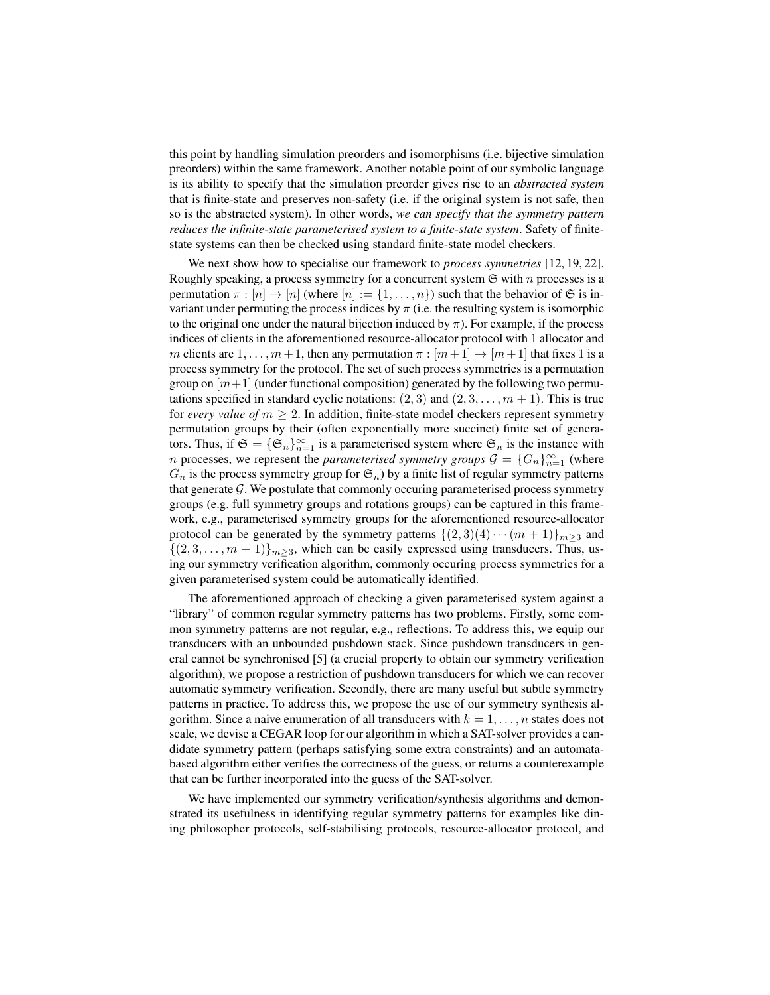this point by handling simulation preorders and isomorphisms (i.e. bijective simulation preorders) within the same framework. Another notable point of our symbolic language is its ability to specify that the simulation preorder gives rise to an *abstracted system* that is finite-state and preserves non-safety (i.e. if the original system is not safe, then so is the abstracted system). In other words, *we can specify that the symmetry pattern reduces the infinite-state parameterised system to a finite-state system*. Safety of finitestate systems can then be checked using standard finite-state model checkers.

We next show how to specialise our framework to *process symmetries* [12, 19, 22]. Roughly speaking, a process symmetry for a concurrent system  $\mathfrak S$  with n processes is a permutation  $\pi : [n] \to [n]$  (where  $[n] := \{1, \ldots, n\}$ ) such that the behavior of  $\mathfrak S$  is invariant under permuting the process indices by  $\pi$  (i.e. the resulting system is isomorphic to the original one under the natural bijection induced by  $\pi$ ). For example, if the process indices of clients in the aforementioned resource-allocator protocol with 1 allocator and m clients are  $1, \ldots, m+1$ , then any permutation  $\pi : [m+1] \rightarrow [m+1]$  that fixes 1 is a process symmetry for the protocol. The set of such process symmetries is a permutation group on  $[m+1]$  (under functional composition) generated by the following two permutations specified in standard cyclic notations:  $(2, 3)$  and  $(2, 3, \ldots, m + 1)$ . This is true for *every value of*  $m \geq 2$ . In addition, finite-state model checkers represent symmetry permutation groups by their (often exponentially more succinct) finite set of generators. Thus, if  $\mathfrak{S} = {\mathfrak{S}_n}_{n=1}^\infty$  is a parameterised system where  $\mathfrak{S}_n$  is the instance with n processes, we represent the *parameterised symmetry groups*  $\mathcal{G} = \{G_n\}_{n=1}^{\infty}$  (where  $G_n$  is the process symmetry group for  $\mathfrak{S}_n$ ) by a finite list of regular symmetry patterns that generate  $G$ . We postulate that commonly occuring parameterised process symmetry groups (e.g. full symmetry groups and rotations groups) can be captured in this framework, e.g., parameterised symmetry groups for the aforementioned resource-allocator protocol can be generated by the symmetry patterns  $\{(2,3)(4)\cdots(m+1)\}_{m>3}$  and  $\{(2, 3, \ldots, m + 1)\}_{m \geq 3}$ , which can be easily expressed using transducers. Thus, using our symmetry verification algorithm, commonly occuring process symmetries for a given parameterised system could be automatically identified.

The aforementioned approach of checking a given parameterised system against a "library" of common regular symmetry patterns has two problems. Firstly, some common symmetry patterns are not regular, e.g., reflections. To address this, we equip our transducers with an unbounded pushdown stack. Since pushdown transducers in general cannot be synchronised [5] (a crucial property to obtain our symmetry verification algorithm), we propose a restriction of pushdown transducers for which we can recover automatic symmetry verification. Secondly, there are many useful but subtle symmetry patterns in practice. To address this, we propose the use of our symmetry synthesis algorithm. Since a naive enumeration of all transducers with  $k = 1, \ldots, n$  states does not scale, we devise a CEGAR loop for our algorithm in which a SAT-solver provides a candidate symmetry pattern (perhaps satisfying some extra constraints) and an automatabased algorithm either verifies the correctness of the guess, or returns a counterexample that can be further incorporated into the guess of the SAT-solver.

We have implemented our symmetry verification/synthesis algorithms and demonstrated its usefulness in identifying regular symmetry patterns for examples like dining philosopher protocols, self-stabilising protocols, resource-allocator protocol, and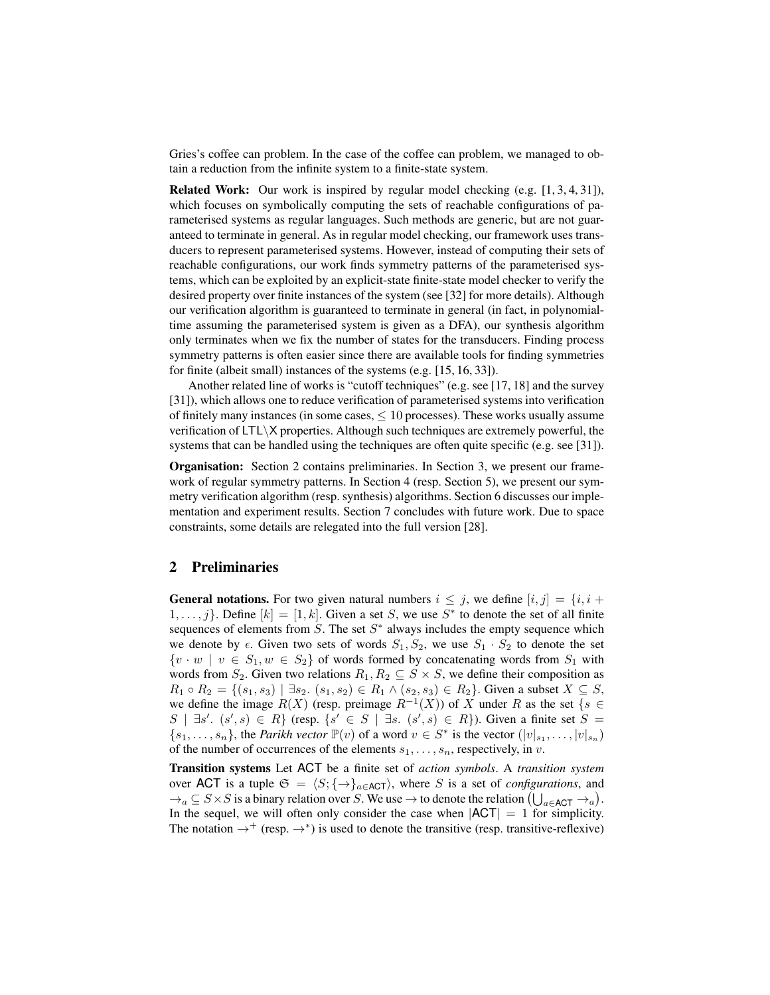Gries's coffee can problem. In the case of the coffee can problem, we managed to obtain a reduction from the infinite system to a finite-state system.

Related Work: Our work is inspired by regular model checking (e.g. [1, 3, 4, 31]), which focuses on symbolically computing the sets of reachable configurations of parameterised systems as regular languages. Such methods are generic, but are not guaranteed to terminate in general. As in regular model checking, our framework uses transducers to represent parameterised systems. However, instead of computing their sets of reachable configurations, our work finds symmetry patterns of the parameterised systems, which can be exploited by an explicit-state finite-state model checker to verify the desired property over finite instances of the system (see [32] for more details). Although our verification algorithm is guaranteed to terminate in general (in fact, in polynomialtime assuming the parameterised system is given as a DFA), our synthesis algorithm only terminates when we fix the number of states for the transducers. Finding process symmetry patterns is often easier since there are available tools for finding symmetries for finite (albeit small) instances of the systems (e.g. [15, 16, 33]).

Another related line of works is "cutoff techniques" (e.g. see [17, 18] and the survey [31]), which allows one to reduce verification of parameterised systems into verification of finitely many instances (in some cases,  $\leq 10$  processes). These works usually assume verification of  $LT\&$  properties. Although such techniques are extremely powerful, the systems that can be handled using the techniques are often quite specific (e.g. see [31]).

Organisation: Section 2 contains preliminaries. In Section 3, we present our framework of regular symmetry patterns. In Section 4 (resp. Section 5), we present our symmetry verification algorithm (resp. synthesis) algorithms. Section 6 discusses our implementation and experiment results. Section 7 concludes with future work. Due to space constraints, some details are relegated into the full version [28].

# 2 Preliminaries

**General notations.** For two given natural numbers  $i \leq j$ , we define  $[i, j] = \{i, i + j\}$  $1, \ldots, j$ . Define  $[k] = [1, k]$ . Given a set S, we use  $S^*$  to denote the set of all finite sequences of elements from  $S$ . The set  $S^*$  always includes the empty sequence which we denote by  $\epsilon$ . Given two sets of words  $S_1, S_2$ , we use  $S_1 \cdot S_2$  to denote the set  $\{v \cdot w \mid v \in S_1, w \in S_2\}$  of words formed by concatenating words from  $S_1$  with words from  $S_2$ . Given two relations  $R_1, R_2 \subseteq S \times S$ , we define their composition as  $R_1 \circ R_2 = \{(s_1, s_3) \mid \exists s_2 \ldotp (s_1, s_2) \in R_1 \land (s_2, s_3) \in R_2\}$ . Given a subset  $X \subseteq S$ , we define the image  $R(X)$  (resp. preimage  $R^{-1}(X)$ ) of X under R as the set {s  $\in$  $S$  | ∃s'.  $(s', s) \in R$ } (resp.  $\{s' \in S \mid \exists s$ .  $(s', s) \in R\}$ ). Given a finite set  $S =$  ${s_1, \ldots, s_n}$ , the *Parikh vector*  $\mathbb{P}(v)$  of a word  $v \in S^*$  is the vector  $(|v|_{s_1}, \ldots, |v|_{s_n})$ of the number of occurrences of the elements  $s_1, \ldots, s_n$ , respectively, in v.

Transition systems Let ACT be a finite set of *action symbols*. A *transition system* over ACT is a tuple  $\mathfrak{S} = \langle S; \{ \rightarrow \}_{a \in \text{ACT}} \rangle$ , where S is a set of *configurations*, and  $\rightarrow_a \subseteq S \times S$  is a binary relation over S. We use  $\rightarrow$  to denote the relation  $(\bigcup_{a \in \mathsf{ACT}} \rightarrow_a)$ . In the sequel, we will often only consider the case when  $|ACT| = 1$  for simplicity. The notation  $\rightarrow^+$  (resp.  $\rightarrow^*$ ) is used to denote the transitive (resp. transitive-reflexive)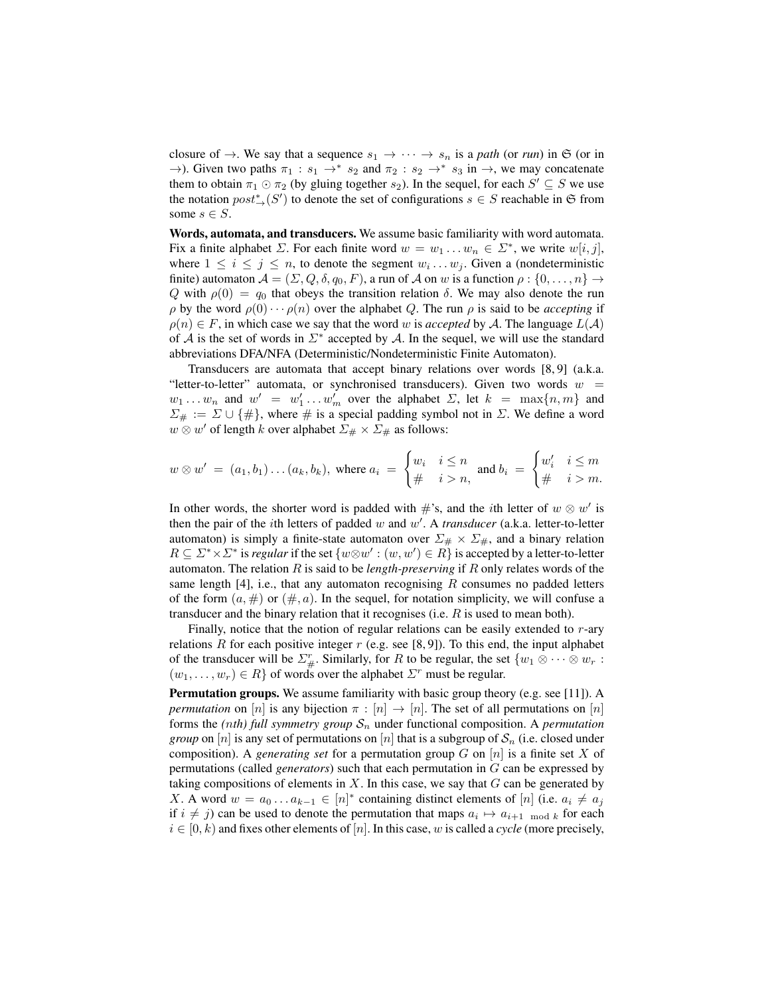closure of  $\rightarrow$ . We say that a sequence  $s_1 \rightarrow \cdots \rightarrow s_n$  is a *path* (or *run*) in G (or in  $\rightarrow$ ). Given two paths  $\pi_1 : s_1 \rightarrow^* s_2$  and  $\pi_2 : s_2 \rightarrow^* s_3$  in  $\rightarrow$ , we may concatenate them to obtain  $\pi_1 \odot \pi_2$  (by gluing together  $s_2$ ). In the sequel, for each  $S' \subseteq S$  we use the notation  $post^*_{\rightarrow}(S')$  to denote the set of configurations  $s \in S$  reachable in G from some  $s \in S$ .

Words, automata, and transducers. We assume basic familiarity with word automata. Fix a finite alphabet  $\Sigma$ . For each finite word  $w = w_1 \dots w_n \in \Sigma^*$ , we write  $w[i, j]$ , where  $1 \leq i \leq j \leq n$ , to denote the segment  $w_i \dots w_j$ . Given a (nondeterministic finite) automaton  $\mathcal{A} = (\Sigma, Q, \delta, q_0, F)$ , a run of  $\mathcal{A}$  on w is a function  $\rho : \{0, \ldots, n\} \to$ Q with  $\rho(0) = q_0$  that obeys the transition relation  $\delta$ . We may also denote the run  $\rho$  by the word  $\rho(0) \cdots \rho(n)$  over the alphabet Q. The run  $\rho$  is said to be *accepting* if  $\rho(n) \in F$ , in which case we say that the word w is *accepted* by A. The language  $L(A)$ of  $A$  is the set of words in  $\Sigma^*$  accepted by  $A$ . In the sequel, we will use the standard abbreviations DFA/NFA (Deterministic/Nondeterministic Finite Automaton).

Transducers are automata that accept binary relations over words [8, 9] (a.k.a. "letter-to-letter" automata, or synchronised transducers). Given two words  $w =$  $w_1 \ldots w_n$  and  $w' = w'_1 \ldots w'_m$  over the alphabet  $\Sigma$ , let  $k = \max\{n, m\}$  and  $\Sigma_{\#} := \Sigma \cup \{\#\}$ , where  $\#$  is a special padding symbol not in  $\Sigma$ . We define a word  $w \otimes w'$  of length k over alphabet  $\Sigma_{\#} \times \Sigma_{\#}$  as follows:

$$
w \otimes w' = (a_1, b_1) \dots (a_k, b_k), \text{ where } a_i = \begin{cases} w_i & i \leq n \\ \# & i > n, \end{cases} \text{ and } b_i = \begin{cases} w'_i & i \leq m \\ \# & i > m. \end{cases}
$$

In other words, the shorter word is padded with  $\#$ 's, and the *i*th letter of  $w \otimes w'$  is then the pair of the *i*th letters of padded  $w$  and  $w'$ . A *transducer* (a.k.a. letter-to-letter automaton) is simply a finite-state automaton over  $\Sigma_{\#} \times \Sigma_{\#}$ , and a binary relation  $R \subseteq \Sigma^* \times \Sigma^*$  is *regular* if the set  $\{w \otimes w' : (w, w') \in R\}$  is accepted by a letter-to-letter automaton. The relation R is said to be *length-preserving* if R only relates words of the same length  $[4]$ , i.e., that any automaton recognising R consumes no padded letters of the form  $(a, \#)$  or  $(\#, a)$ . In the sequel, for notation simplicity, we will confuse a transducer and the binary relation that it recognises (i.e.  $R$  is used to mean both).

Finally, notice that the notion of regular relations can be easily extended to  $r$ -ary relations R for each positive integer  $r$  (e.g. see [8,9]). To this end, the input alphabet of the transducer will be  $\Sigma_{\#}^r$ . Similarly, for R to be regular, the set  $\{w_1 \otimes \cdots \otimes w_r$ :  $(w_1, \ldots, w_r) \in R$  of words over the alphabet  $\Sigma^r$  must be regular.

Permutation groups. We assume familiarity with basic group theory (e.g. see [11]). A *permutation* on [n] is any bijection  $\pi : [n] \to [n]$ . The set of all permutations on [n] forms the *(nth) full symmetry group*  $S_n$  under functional composition. A *permutation group* on [n] is any set of permutations on [n] that is a subgroup of  $S_n$  (i.e. closed under composition). A *generating set* for a permutation group G on [n] is a finite set X of permutations (called *generators*) such that each permutation in G can be expressed by taking compositions of elements in  $X$ . In this case, we say that  $G$  can be generated by X. A word  $w = a_0 \dots a_{k-1} \in [n]^*$  containing distinct elements of  $[n]$  (i.e.  $a_i \neq a_j$ ) if  $i \neq j$ ) can be used to denote the permutation that maps  $a_i \mapsto a_{i+1 \mod k}$  for each  $i \in [0, k)$  and fixes other elements of [n]. In this case, w is called a *cycle* (more precisely,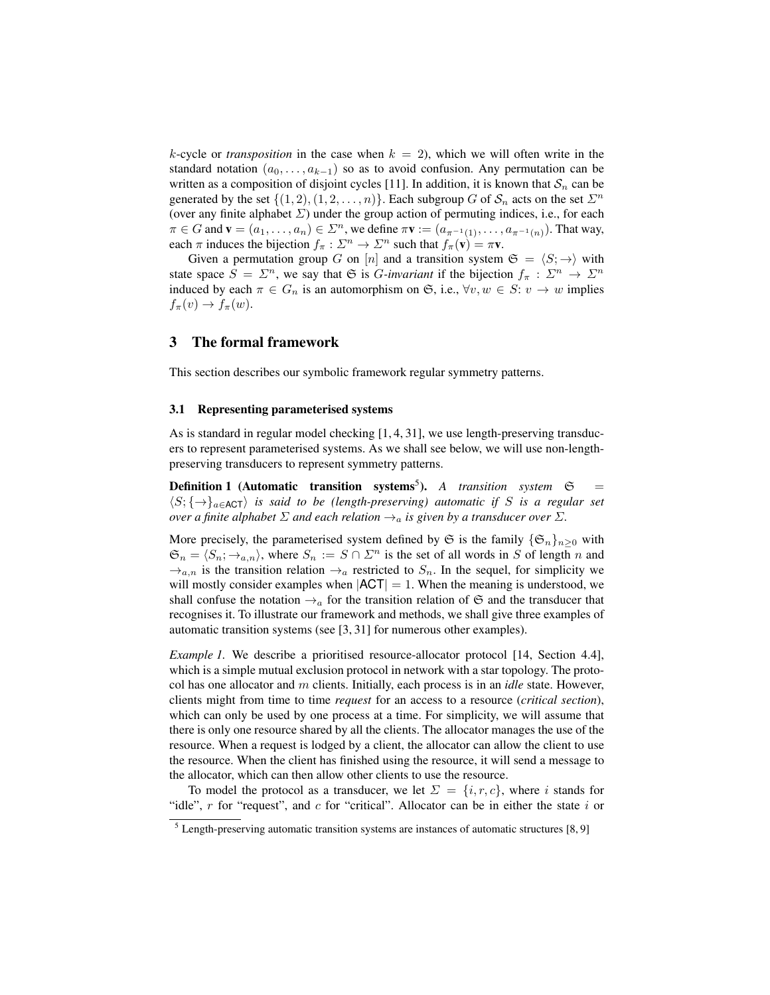k-cycle or *transposition* in the case when  $k = 2$ ), which we will often write in the standard notation  $(a_0, \ldots, a_{k-1})$  so as to avoid confusion. Any permutation can be written as a composition of disjoint cycles [11]. In addition, it is known that  $S_n$  can be generated by the set  $\{(1, 2), (1, 2, \ldots, n)\}$ . Each subgroup G of  $S_n$  acts on the set  $\Sigma^n$ (over any finite alphabet  $\Sigma$ ) under the group action of permuting indices, i.e., for each  $\pi \in G$  and  $\mathbf{v} = (a_1, \dots, a_n) \in \Sigma^n$ , we define  $\pi \mathbf{v} := (a_{\pi^{-1}(1)}, \dots, a_{\pi^{-1}(n)})$ . That way, each  $\pi$  induces the bijection  $f_{\pi}: \Sigma^n \to \Sigma^n$  such that  $f_{\pi}(\mathbf{v}) = \pi \mathbf{v}$ .

Given a permutation group G on [n] and a transition system  $\mathfrak{S} = \langle S; \rightarrow \rangle$  with state space  $S = \Sigma^n$ , we say that G is *G*-invariant if the bijection  $f_\pi : \Sigma^n \to \Sigma^n$ induced by each  $\pi \in G_n$  is an automorphism on G, i.e.,  $\forall v, w \in S: v \rightarrow w$  implies  $f_{\pi}(v) \rightarrow f_{\pi}(w).$ 

### 3 The formal framework

This section describes our symbolic framework regular symmetry patterns.

### 3.1 Representing parameterised systems

As is standard in regular model checking [1, 4, 31], we use length-preserving transducers to represent parameterised systems. As we shall see below, we will use non-lengthpreserving transducers to represent symmetry patterns.

**Definition 1** (Automatic transition systems<sup>5</sup>). A transition system  $\mathfrak{S}$  =  $\langle S; \{\rightarrow\}\$ <sub>a∈ACT</sub> $\rangle$  *is said to be (length-preserving) automatic if S is a regular set over a finite alphabet*  $\Sigma$  *and each relation*  $\rightarrow_a$  *is given by a transducer over*  $\Sigma$ *.* 

More precisely, the parameterised system defined by  $\mathfrak S$  is the family  $\{\mathfrak S_n\}_{n>0}$  with  $\mathfrak{S}_n = \langle S_n; \to_{a,n} \rangle$ , where  $S_n := S \cap \Sigma^n$  is the set of all words in S of length n and  $\rightarrow_{a,n}$  is the transition relation  $\rightarrow_a$  restricted to  $S_n$ . In the sequel, for simplicity we will mostly consider examples when  $|ACT| = 1$ . When the meaning is understood, we shall confuse the notation  $\rightarrow_a$  for the transition relation of G and the transducer that recognises it. To illustrate our framework and methods, we shall give three examples of automatic transition systems (see [3, 31] for numerous other examples).

*Example 1.* We describe a prioritised resource-allocator protocol [14, Section 4.4], which is a simple mutual exclusion protocol in network with a star topology. The protocol has one allocator and m clients. Initially, each process is in an *idle* state. However, clients might from time to time *request* for an access to a resource (*critical section*), which can only be used by one process at a time. For simplicity, we will assume that there is only one resource shared by all the clients. The allocator manages the use of the resource. When a request is lodged by a client, the allocator can allow the client to use the resource. When the client has finished using the resource, it will send a message to the allocator, which can then allow other clients to use the resource.

To model the protocol as a transducer, we let  $\Sigma = \{i, r, c\}$ , where i stands for "idle",  $r$  for "request", and  $c$  for "critical". Allocator can be in either the state  $i$  or

 $<sup>5</sup>$  Length-preserving automatic transition systems are instances of automatic structures [8, 9]</sup>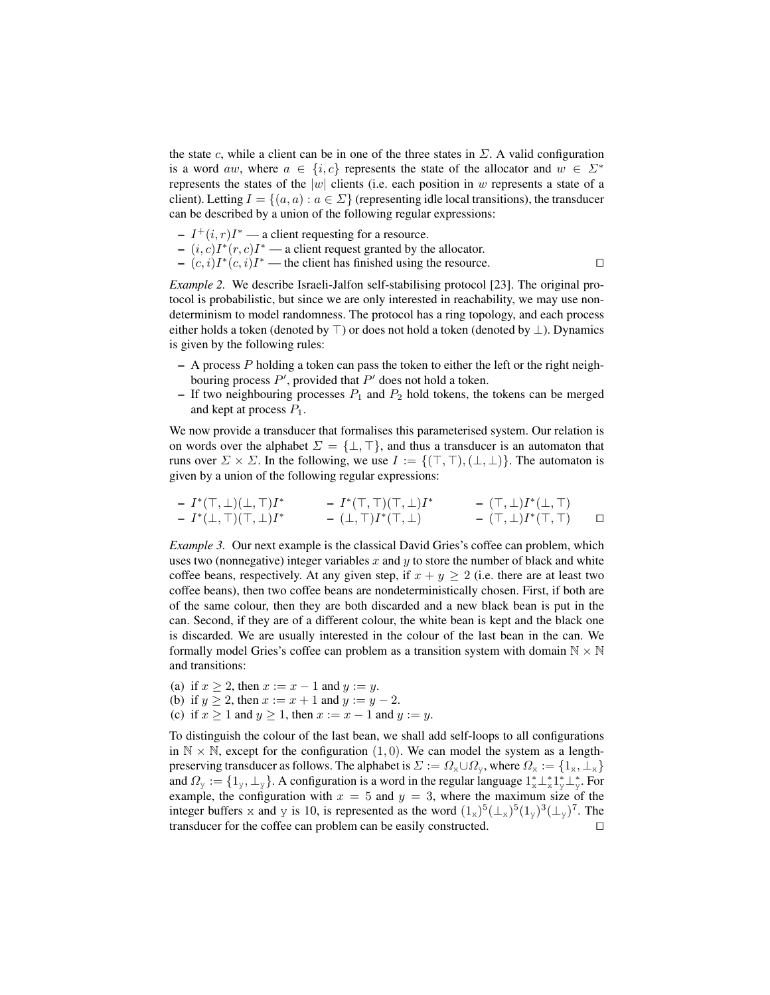the state c, while a client can be in one of the three states in  $\Sigma$ . A valid configuration is a word aw, where  $a \in \{i, c\}$  represents the state of the allocator and  $w \in \Sigma^*$ represents the states of the |w| clients (i.e. each position in w represents a state of a client). Letting  $I = \{(a, a) : a \in \Sigma\}$  (representing idle local transitions), the transducer can be described by a union of the following regular expressions:

- $-I^+(i, r)I^*$  a client requesting for a resource.
- $(i, c)I^*(r, c)I^*$  a client request granted by the allocator.
- $-(c, i)I^*(c, i)I^*$  the client has finished using the resource.

*Example 2.* We describe Israeli-Jalfon self-stabilising protocol [23]. The original protocol is probabilistic, but since we are only interested in reachability, we may use nondeterminism to model randomness. The protocol has a ring topology, and each process either holds a token (denoted by  $\top$ ) or does not hold a token (denoted by  $\bot$ ). Dynamics is given by the following rules:

- $-$  A process  $P$  holding a token can pass the token to either the left or the right neighbouring process  $P'$ , provided that  $P'$  does not hold a token.
- If two neighbouring processes  $P_1$  and  $P_2$  hold tokens, the tokens can be merged and kept at process  $P_1$ .

We now provide a transducer that formalises this parameterised system. Our relation is on words over the alphabet  $\Sigma = {\{\perp, \top\}}$ , and thus a transducer is an automaton that runs over  $\Sigma \times \Sigma$ . In the following, we use  $I := \{(\top, \top), (\bot, \bot)\}\.$  The automaton is given by a union of the following regular expressions:

$$
\begin{array}{ccccccccc} & - & I^*(\top, \bot)(\bot, \top)I^* & & - & I^*(\top, \top)(\top, \bot)I^* & & - & (\top, \bot)I^*(\bot, \top) \\ & - & I^*(\bot, \top)(\top, \bot)I^* & & - & (\bot, \top)I^*(\top, \bot) & & - & (\top, \bot)I^*(\top, \top) & & \square \end{array}
$$

*Example 3.* Our next example is the classical David Gries's coffee can problem, which uses two (nonnegative) integer variables  $x$  and  $y$  to store the number of black and white coffee beans, respectively. At any given step, if  $x + y \ge 2$  (i.e. there are at least two coffee beans), then two coffee beans are nondeterministically chosen. First, if both are of the same colour, then they are both discarded and a new black bean is put in the can. Second, if they are of a different colour, the white bean is kept and the black one is discarded. We are usually interested in the colour of the last bean in the can. We formally model Gries's coffee can problem as a transition system with domain  $\mathbb{N} \times \mathbb{N}$ and transitions:

- (a) if  $x \ge 2$ , then  $x := x 1$  and  $y := y$ .
- (b) if  $y \ge 2$ , then  $x := x + 1$  and  $y := y 2$ .
- (c) if  $x \ge 1$  and  $y \ge 1$ , then  $x := x 1$  and  $y := y$ .

To distinguish the colour of the last bean, we shall add self-loops to all configurations in  $\mathbb{N} \times \mathbb{N}$ , except for the configuration  $(1, 0)$ . We can model the system as a lengthpreserving transducer as follows. The alphabet is  $\Sigma := \Omega_x \cup \Omega_y$ , where  $\Omega_x := \{1_x, \perp_x\}$ and  $\Omega_y := \{1_y, \perp_y\}$ . A configuration is a word in the regular language  $1_x^* \perp_x^* 1_y^* \perp_y^*$ . For example, the configuration with  $x = 5$  and  $y = 3$ , where the maximum size of the integer buffers x and y is 10, is represented as the word  $(1_x)^5(\perp_x)^5(1_y)^3(\perp_y)^7$ . The transducer for the coffee can problem can be easily constructed.  $\Box$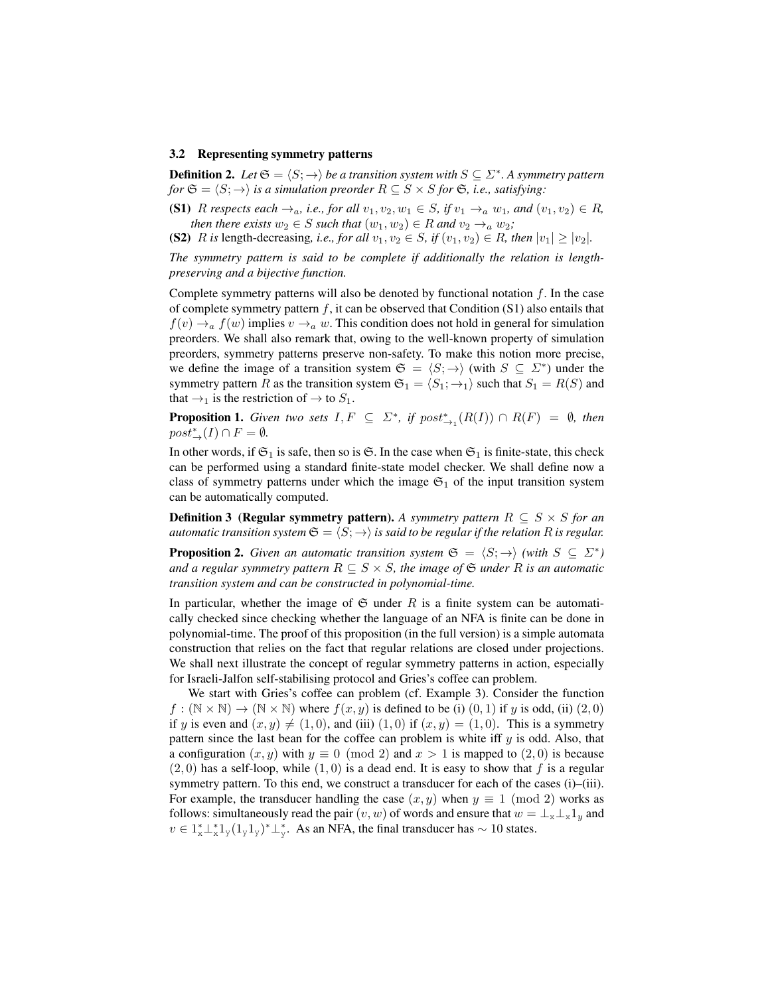#### 3.2 Representing symmetry patterns

**Definition 2.** Let  $\mathfrak{S} = \langle S; \to \rangle$  be a transition system with  $S \subseteq \Sigma^*$ . A symmetry pattern *for*  $\mathfrak{S} = \langle S; \rightarrow \rangle$  *is a simulation preorder*  $R \subseteq S \times S$  *for*  $\mathfrak{S}$ *, i.e., satisfying:* 

(S1) R respects each  $\rightarrow_a$ , i.e., for all  $v_1, v_2, w_1 \in S$ , if  $v_1 \rightarrow_a w_1$ , and  $(v_1, v_2) \in R$ , *then there exists*  $w_2 \in S$  *such that*  $(w_1, w_2) \in R$  *and*  $v_2 \rightarrow_a w_2$ *;* 

(S2) R is length-decreasing, i.e., for all  $v_1, v_2 \in S$ , if  $(v_1, v_2) \in R$ , then  $|v_1| \ge |v_2|$ .

*The symmetry pattern is said to be complete if additionally the relation is lengthpreserving and a bijective function.*

Complete symmetry patterns will also be denoted by functional notation  $f$ . In the case of complete symmetry pattern  $f$ , it can be observed that Condition (S1) also entails that  $f(v) \rightarrow_a f(w)$  implies  $v \rightarrow_a w$ . This condition does not hold in general for simulation preorders. We shall also remark that, owing to the well-known property of simulation preorders, symmetry patterns preserve non-safety. To make this notion more precise, we define the image of a transition system  $\mathfrak{S} = \langle S; \rightarrow \rangle$  (with  $S \subseteq \Sigma^*$ ) under the symmetry pattern R as the transition system  $\mathfrak{S}_1 = \langle S_1; \rightarrow_1 \rangle$  such that  $S_1 = R(S)$  and that  $\rightarrow_1$  is the restriction of  $\rightarrow$  to  $S_1$ .

**Proposition 1.** *Given two sets*  $I, F \subseteq \Sigma^*$ , *if*  $post^*_{\rightarrow_1}(R(I)) \cap R(F) = \emptyset$ , *then*  $post^*_{\rightarrow}(I) \cap F = \emptyset$ .

In other words, if  $\mathfrak{S}_1$  is safe, then so is  $\mathfrak{S}$ . In the case when  $\mathfrak{S}_1$  is finite-state, this check can be performed using a standard finite-state model checker. We shall define now a class of symmetry patterns under which the image  $\mathfrak{S}_1$  of the input transition system can be automatically computed.

**Definition 3 (Regular symmetry pattern).** A symmetry pattern  $R \subseteq S \times S$  for an *automatic transition system*  $\mathfrak{S} = \langle S; \rightarrow \rangle$  *is said to be regular if the relation* R *is regular.* 

**Proposition 2.** *Given an automatic transition system*  $\mathfrak{S} = \langle S; \rightarrow \rangle$  *(with*  $S \subseteq \Sigma^*$ ) *and a regular symmetry pattern*  $R \subseteq S \times S$ , the image of  $\mathfrak{S}$  *under* R *is an automatic transition system and can be constructed in polynomial-time.*

In particular, whether the image of  $G$  under R is a finite system can be automatically checked since checking whether the language of an NFA is finite can be done in polynomial-time. The proof of this proposition (in the full version) is a simple automata construction that relies on the fact that regular relations are closed under projections. We shall next illustrate the concept of regular symmetry patterns in action, especially for Israeli-Jalfon self-stabilising protocol and Gries's coffee can problem.

We start with Gries's coffee can problem (cf. Example 3). Consider the function  $f : (\mathbb{N} \times \mathbb{N}) \to (\mathbb{N} \times \mathbb{N})$  where  $f(x, y)$  is defined to be (i)  $(0, 1)$  if y is odd, (ii)  $(2, 0)$ if y is even and  $(x, y) \neq (1, 0)$ , and (iii)  $(1, 0)$  if  $(x, y) = (1, 0)$ . This is a symmetry pattern since the last bean for the coffee can problem is white iff  $y$  is odd. Also, that a configuration  $(x, y)$  with  $y \equiv 0 \pmod{2}$  and  $x > 1$  is mapped to  $(2, 0)$  is because  $(2, 0)$  has a self-loop, while  $(1, 0)$  is a dead end. It is easy to show that f is a regular symmetry pattern. To this end, we construct a transducer for each of the cases (i)–(iii). For example, the transducer handling the case  $(x, y)$  when  $y \equiv 1 \pmod{2}$  works as follows: simultaneously read the pair  $(v, w)$  of words and ensure that  $w = \perp_x \perp_y \perp_y \perp_y$  and  $v \in 1_{x}^{*}1_{x}^{*}1_{y}(1_{y}1_{y})^{*}1_{y}^{*}$ . As an NFA, the final transducer has  $\sim 10$  states.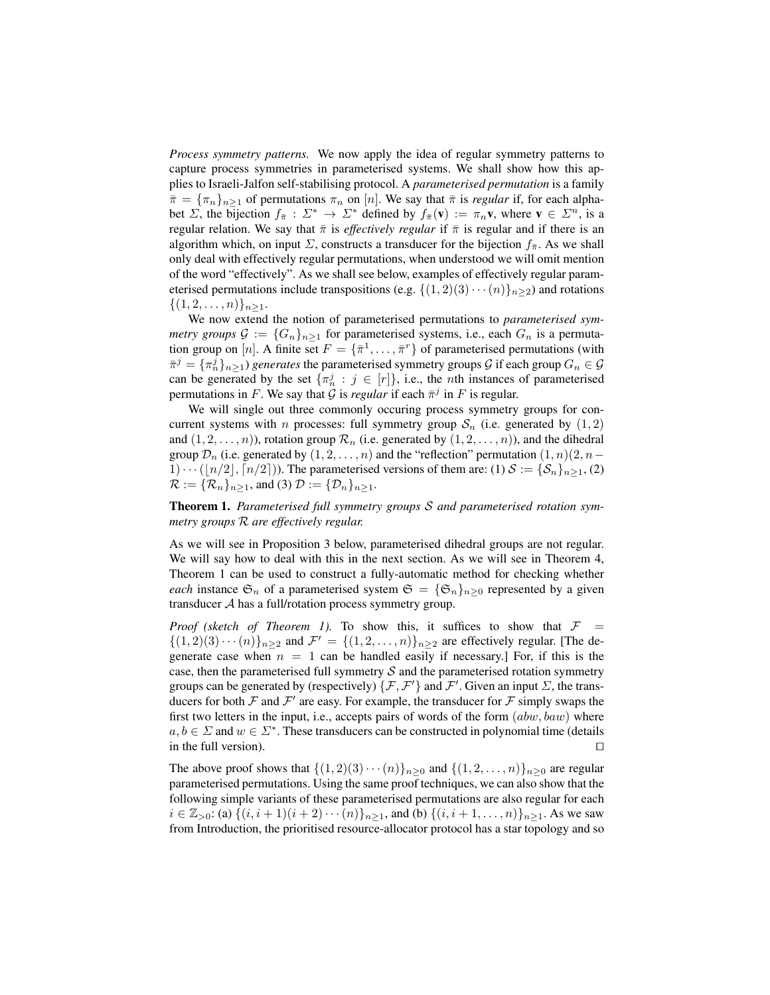*Process symmetry patterns.* We now apply the idea of regular symmetry patterns to capture process symmetries in parameterised systems. We shall show how this applies to Israeli-Jalfon self-stabilising protocol. A *parameterised permutation* is a family  $\bar{\pi} = {\pi_n}_{n \geq 1}$  of permutations  $\pi_n$  on [n]. We say that  $\bar{\pi}$  is *regular* if, for each alphabet  $\Sigma$ , the bijection  $f_{\overline{\pi}} : \Sigma^* \to \Sigma^*$  defined by  $f_{\overline{\pi}}(\mathbf{v}) := \pi_n \mathbf{v}$ , where  $\mathbf{v} \in \Sigma^n$ , is a regular relation. We say that  $\bar{\pi}$  is *effectively regular* if  $\bar{\pi}$  is regular and if there is an algorithm which, on input  $\Sigma$ , constructs a transducer for the bijection  $f_{\overline{x}}$ . As we shall only deal with effectively regular permutations, when understood we will omit mention of the word "effectively". As we shall see below, examples of effectively regular parameterised permutations include transpositions (e.g.  $\{(1,2)(3)\cdots(n)\}_n\geq 2$ ) and rotations  $\{(1, 2, \ldots, n)\}_{n \geq 1}.$ 

We now extend the notion of parameterised permutations to *parameterised symmetry groups*  $G := \{G_n\}_{n>1}$  for parameterised systems, i.e., each  $G_n$  is a permutation group on [n]. A finite set  $F = {\{\overline{\pi}}^1, \dots, \overline{\pi}^r\}$  of parameterised permutations (with  $\bar{\pi}^j = \{\pi_n^j\}_{n\geq 1}$ ) *generates* the parameterised symmetry groups  $\mathcal G$  if each group  $G_n \in \mathcal G$ can be generated by the set  $\{\pi_n^j : j \in [r]\}$ , i.e., the *n*th instances of parameterised permutations in F. We say that G is *regular* if each  $\bar{\pi}^j$  in F is regular.

We will single out three commonly occuring process symmetry groups for concurrent systems with *n* processes: full symmetry group  $S_n$  (i.e. generated by  $(1, 2)$ ) and  $(1, 2, \ldots, n)$ , rotation group  $\mathcal{R}_n$  (i.e. generated by  $(1, 2, \ldots, n)$ ), and the dihedral group  $\mathcal{D}_n$  (i.e. generated by  $(1, 2, \ldots, n)$  and the "reflection" permutation  $(1, n)(2, n-\alpha)$  $1) \cdots (|n/2|, [n/2])$ . The parameterised versions of them are: (1)  $S := {\mathcal{S}_n}_{n \geq 1}$ , (2)  $\mathcal{R} := {\mathcal{R}_n}_{n \geq 1}$ , and (3)  $\mathcal{D} := {\mathcal{D}_n}_{n \geq 1}$ .

Theorem 1. *Parameterised full symmetry groups* S *and parameterised rotation symmetry groups* R *are effectively regular.*

As we will see in Proposition 3 below, parameterised dihedral groups are not regular. We will say how to deal with this in the next section. As we will see in Theorem 4, Theorem 1 can be used to construct a fully-automatic method for checking whether *each* instance  $\mathfrak{S}_n$  of a parameterised system  $\mathfrak{S} = {\mathfrak{S}_n}_{n \geq 0}$  represented by a given transducer A has a full/rotation process symmetry group.

*Proof* (sketch of Theorem 1). To show this, it suffices to show that  $\mathcal{F}$  =  $\{(1,2)(3)\cdots(n)\}_{n\geq 2}$  and  $\mathcal{F}' = \{(1,2,\ldots,n)\}_{n\geq 2}$  are effectively regular. [The degenerate case when  $n = 1$  can be handled easily if necessary.] For, if this is the case, then the parameterised full symmetry  $\mathcal S$  and the parameterised rotation symmetry groups can be generated by (respectively)  $\{\mathcal{F}, \mathcal{F}'\}$  and  $\mathcal{F}'$ . Given an input  $\Sigma$ , the transducers for both  $\mathcal F$  and  $\mathcal F'$  are easy. For example, the transducer for  $\mathcal F$  simply swaps the first two letters in the input, i.e., accepts pairs of words of the form  $(abw, baw)$  where  $a, b \in \Sigma$  and  $w \in \Sigma^*$ . These transducers can be constructed in polynomial time (details in the full version).  $\Box$ 

The above proof shows that  $\{(1,2)(3)\cdots(n)\}_n\geq_0$  and  $\{(1,2,\ldots,n)\}_{n\geq 0}$  are regular parameterised permutations. Using the same proof techniques, we can also show that the following simple variants of these parameterised permutations are also regular for each  $i \in \mathbb{Z}_{>0}$ : (a)  $\{(i, i + 1)(i + 2) \cdots (n)\}_{n \ge 1}$ , and (b)  $\{(i, i + 1, \ldots, n)\}_{n \ge 1}$ . As we saw from Introduction, the prioritised resource-allocator protocol has a star topology and so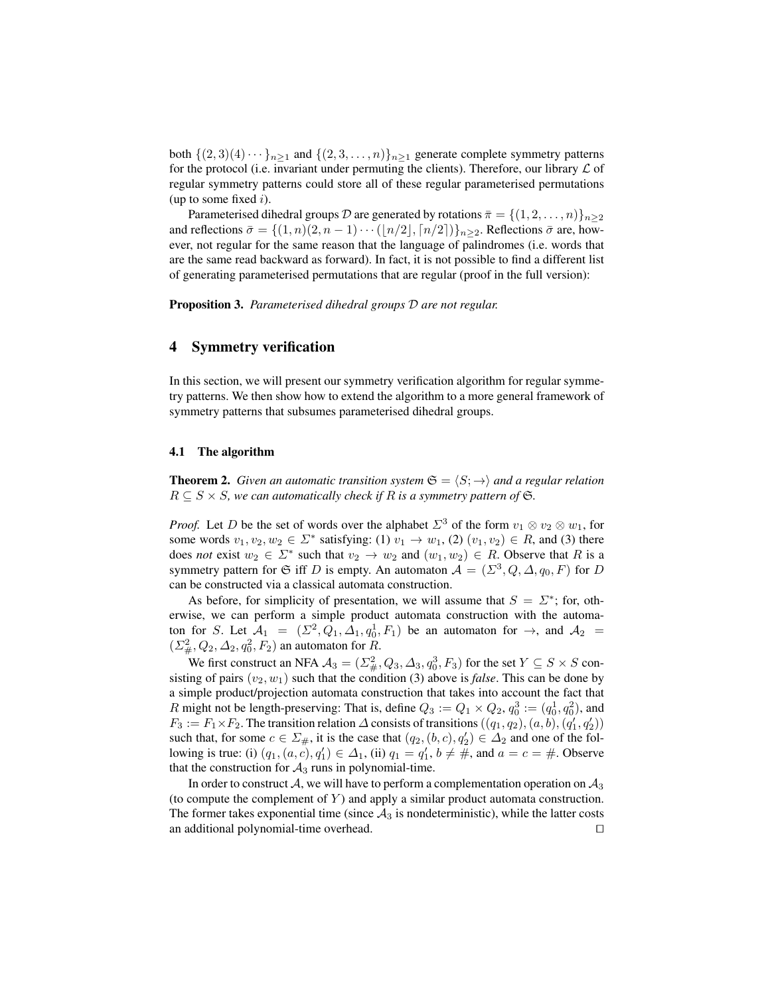both  $\{(2,3)(4)\cdots\}_{n>1}$  and  $\{(2,3,\ldots,n)\}_{n>1}$  generate complete symmetry patterns for the protocol (i.e. invariant under permuting the clients). Therefore, our library  $\mathcal L$  of regular symmetry patterns could store all of these regular parameterised permutations (up to some fixed  $i$ ).

Parameterised dihedral groups D are generated by rotations  $\bar{\pi} = \{(1, 2, \ldots, n)\}_{n \geq 2}$ and reflections  $\bar{\sigma} = \{(1, n)(2, n - 1) \cdots (\lfloor n/2 \rfloor, \lceil n/2 \rceil)\}_{n \geq 2}$ . Reflections  $\bar{\sigma}$  are, however, not regular for the same reason that the language of palindromes (i.e. words that are the same read backward as forward). In fact, it is not possible to find a different list of generating parameterised permutations that are regular (proof in the full version):

Proposition 3. *Parameterised dihedral groups* D *are not regular.*

# 4 Symmetry verification

In this section, we will present our symmetry verification algorithm for regular symmetry patterns. We then show how to extend the algorithm to a more general framework of symmetry patterns that subsumes parameterised dihedral groups.

#### 4.1 The algorithm

**Theorem 2.** *Given an automatic transition system*  $\mathfrak{S} = \langle S; \rightarrow \rangle$  *and a regular relation*  $R \subseteq S \times S$ , we can automatically check if R is a symmetry pattern of G.

*Proof.* Let D be the set of words over the alphabet  $\Sigma^3$  of the form  $v_1 \otimes v_2 \otimes w_1$ , for some words  $v_1, v_2, w_2 \in \Sigma^*$  satisfying: (1)  $v_1 \to w_1$ , (2)  $(v_1, v_2) \in R$ , and (3) there does *not* exist  $w_2 \in \Sigma^*$  such that  $v_2 \to w_2$  and  $(w_1, w_2) \in R$ . Observe that R is a symmetry pattern for G iff D is empty. An automaton  $A = (\Sigma^3, Q, \Delta, q_0, F)$  for D can be constructed via a classical automata construction.

As before, for simplicity of presentation, we will assume that  $S = \Sigma^*$ ; for, otherwise, we can perform a simple product automata construction with the automaton for S. Let  $A_1 = (\Sigma^2, Q_1, \Delta_1, q_0^1, F_1)$  be an automaton for  $\rightarrow$ , and  $A_2 =$  $(\Sigma^2_{\#}, Q_2, \Delta_2, q_0^2, F_2)$  an automaton for R.

We first construct an NFA  $A_3 = (\Sigma^2_{\#}, Q_3, \Delta_3, q_0^3, F_3)$  for the set  $Y \subseteq S \times S$  consisting of pairs  $(v_2, w_1)$  such that the condition (3) above is *false*. This can be done by a simple product/projection automata construction that takes into account the fact that R might not be length-preserving: That is, define  $Q_3 := Q_1 \times Q_2$ ,  $q_0^3 := (q_0^1, q_0^2)$ , and  $F_3 := F_1 \times F_2$ . The transition relation  $\Delta$  consists of transitions  $((q_1, q_2), (a, b), (q'_1, q'_2))$ such that, for some  $c \in \Sigma_{\#}$ , it is the case that  $(q_2, (b, c), q'_2) \in \Delta_2$  and one of the following is true: (i)  $(q_1, (a, c), q'_1) \in \Delta_1$ , (ii)  $q_1 = q'_1$ ,  $b \neq \#$ , and  $a = c = \#$ . Observe that the construction for  $A_3$  runs in polynomial-time.

In order to construct  $A$ , we will have to perform a complementation operation on  $A_3$ (to compute the complement of  $Y$ ) and apply a similar product automata construction. The former takes exponential time (since  $A_3$  is nondeterministic), while the latter costs an additional polynomial-time overhead.  $\Box$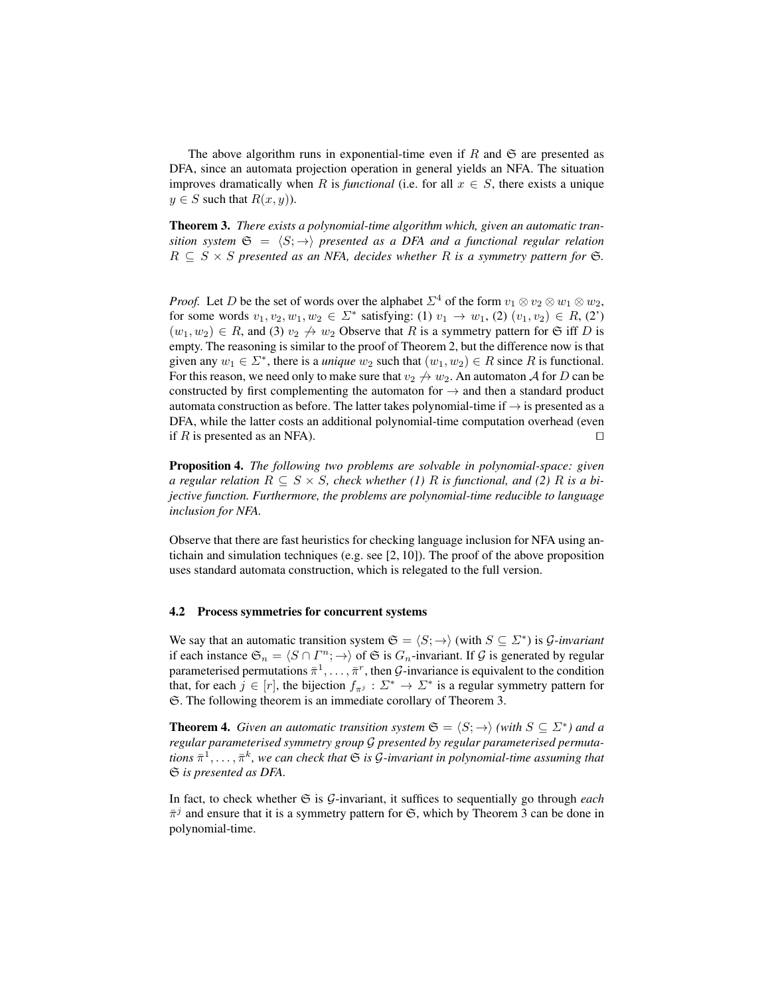The above algorithm runs in exponential-time even if R and  $\mathfrak S$  are presented as DFA, since an automata projection operation in general yields an NFA. The situation improves dramatically when R is *functional* (i.e. for all  $x \in S$ , there exists a unique  $y \in S$  such that  $R(x, y)$ ).

Theorem 3. *There exists a polynomial-time algorithm which, given an automatic transition system*  $\mathfrak{S} = \langle S; \rightarrow \rangle$  *presented as a DFA and a functional regular relation*  $R \subseteq S \times S$  presented as an NFA, decides whether R is a symmetry pattern for  $\mathfrak{S}$ .

*Proof.* Let D be the set of words over the alphabet  $\Sigma^4$  of the form  $v_1 \otimes v_2 \otimes w_1 \otimes w_2$ , for some words  $v_1, v_2, w_1, w_2 \in \Sigma^*$  satisfying: (1)  $v_1 \to w_1$ , (2)  $(v_1, v_2) \in R$ , (2')  $(w_1, w_2) \in R$ , and (3)  $v_2 \nightharpoonup w_2$  Observe that R is a symmetry pattern for G iff D is empty. The reasoning is similar to the proof of Theorem 2, but the difference now is that given any  $w_1 \in \Sigma^*$ , there is a *unique*  $w_2$  such that  $(w_1, w_2) \in R$  since R is functional. For this reason, we need only to make sure that  $v_2 \nrightarrow w_2$ . An automaton A for D can be constructed by first complementing the automaton for  $\rightarrow$  and then a standard product automata construction as before. The latter takes polynomial-time if  $\rightarrow$  is presented as a DFA, while the latter costs an additional polynomial-time computation overhead (even if R is presented as an NFA).  $\square$ 

Proposition 4. *The following two problems are solvable in polynomial-space: given a regular relation*  $R \subseteq S \times S$ , check whether (1) R is functional, and (2) R is a bi*jective function. Furthermore, the problems are polynomial-time reducible to language inclusion for NFA.*

Observe that there are fast heuristics for checking language inclusion for NFA using antichain and simulation techniques (e.g. see [2, 10]). The proof of the above proposition uses standard automata construction, which is relegated to the full version.

#### 4.2 Process symmetries for concurrent systems

We say that an automatic transition system  $\mathfrak{S} = \langle S; \rightarrow \rangle$  (with  $S \subseteq \Sigma^*$ ) is G-invariant if each instance  $\mathfrak{S}_n = \langle S \cap \Gamma^n; \to \rangle$  of  $\mathfrak S$  is  $G_n$ -invariant. If  $\mathcal G$  is generated by regular parameterised permutations  $\bar{\pi}^1, \ldots, \bar{\pi}^r$ , then  $\mathcal{G}\text{-invariance}$  is equivalent to the condition that, for each  $j \in [r]$ , the bijection  $f_{\pi^j} : \Sigma^* \to \Sigma^*$  is a regular symmetry pattern for S. The following theorem is an immediate corollary of Theorem 3.

**Theorem 4.** *Given an automatic transition system*  $\mathfrak{S} = \langle S; \rightarrow \rangle$  *(with*  $S \subseteq \Sigma^*$ *) and a regular parameterised symmetry group* G *presented by regular parameterised permuta* $tions \, \bar{\pi}^1, \ldots, \bar{\pi}^k$ , we can check that  $\mathfrak S$  is  $\mathcal G$ -invariant in polynomial-time assuming that S *is presented as DFA.*

In fact, to check whether  $\mathfrak S$  is  $\mathcal G$ -invariant, it suffices to sequentially go through *each*  $\bar{\pi}^j$  and ensure that it is a symmetry pattern for G, which by Theorem 3 can be done in polynomial-time.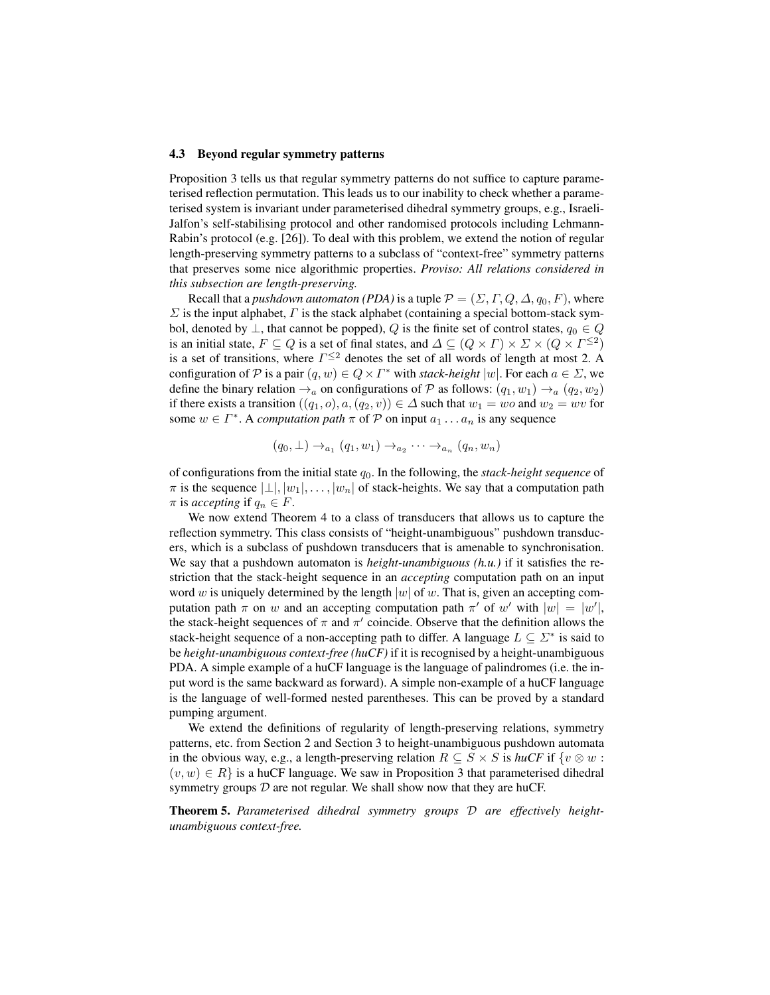#### 4.3 Beyond regular symmetry patterns

Proposition 3 tells us that regular symmetry patterns do not suffice to capture parameterised reflection permutation. This leads us to our inability to check whether a parameterised system is invariant under parameterised dihedral symmetry groups, e.g., Israeli-Jalfon's self-stabilising protocol and other randomised protocols including Lehmann-Rabin's protocol (e.g. [26]). To deal with this problem, we extend the notion of regular length-preserving symmetry patterns to a subclass of "context-free" symmetry patterns that preserves some nice algorithmic properties. *Proviso: All relations considered in this subsection are length-preserving.*

Recall that a *pushdown automaton (PDA)* is a tuple  $\mathcal{P} = (\Sigma, \Gamma, Q, \Delta, q_0, F)$ , where  $\Sigma$  is the input alphabet,  $\Gamma$  is the stack alphabet (containing a special bottom-stack symbol, denoted by  $\perp$ , that cannot be popped), Q is the finite set of control states,  $q_0 \in Q$ is an initial state,  $F \subseteq Q$  is a set of final states, and  $\Delta \subseteq (Q \times \Gamma) \times \Sigma \times (Q \times \Gamma^{\leq 2})$ is a set of transitions, where  $\Gamma^{\leq 2}$  denotes the set of all words of length at most 2. A configuration of P is a pair  $(q, w) \in Q \times \Gamma^*$  with *stack-height*  $|w|$ . For each  $a \in \Sigma$ , we define the binary relation  $\rightarrow_a$  on configurations of P as follows:  $(q_1, w_1) \rightarrow_a (q_2, w_2)$ if there exists a transition  $((q_1, o), a, (q_2, v)) \in \Delta$  such that  $w_1 = wo$  and  $w_2 = wv$  for some  $w \in \Gamma^*$ . A *computation path*  $\pi$  of  $P$  on input  $a_1 \dots a_n$  is any sequence

$$
(q_0, \perp) \rightarrow_{a_1} (q_1, w_1) \rightarrow_{a_2} \cdots \rightarrow_{a_n} (q_n, w_n)
$$

of configurations from the initial state q0. In the following, the *stack-height sequence* of  $\pi$  is the sequence  $|\perp|, |w_1|, \ldots, |w_n|$  of stack-heights. We say that a computation path  $\pi$  is *accepting* if  $q_n \in F$ .

We now extend Theorem 4 to a class of transducers that allows us to capture the reflection symmetry. This class consists of "height-unambiguous" pushdown transducers, which is a subclass of pushdown transducers that is amenable to synchronisation. We say that a pushdown automaton is *height-unambiguous (h.u.)* if it satisfies the restriction that the stack-height sequence in an *accepting* computation path on an input word w is uniquely determined by the length  $|w|$  of w. That is, given an accepting computation path  $\pi$  on w and an accepting computation path  $\pi'$  of w' with  $|w| = |w'|$ , the stack-height sequences of  $\pi$  and  $\pi'$  coincide. Observe that the definition allows the stack-height sequence of a non-accepting path to differ. A language  $L \subseteq \Sigma^*$  is said to be *height-unambiguous context-free (huCF)* if it is recognised by a height-unambiguous PDA. A simple example of a huCF language is the language of palindromes (i.e. the input word is the same backward as forward). A simple non-example of a huCF language is the language of well-formed nested parentheses. This can be proved by a standard pumping argument.

We extend the definitions of regularity of length-preserving relations, symmetry patterns, etc. from Section 2 and Section 3 to height-unambiguous pushdown automata in the obvious way, e.g., a length-preserving relation  $R \subseteq S \times S$  is *huCF* if  $\{v \otimes w :$  $(v, w) \in R$  is a huCF language. We saw in Proposition 3 that parameterised dihedral symmetry groups  $D$  are not regular. We shall show now that they are huCF.

Theorem 5. *Parameterised dihedral symmetry groups* D *are effectively heightunambiguous context-free.*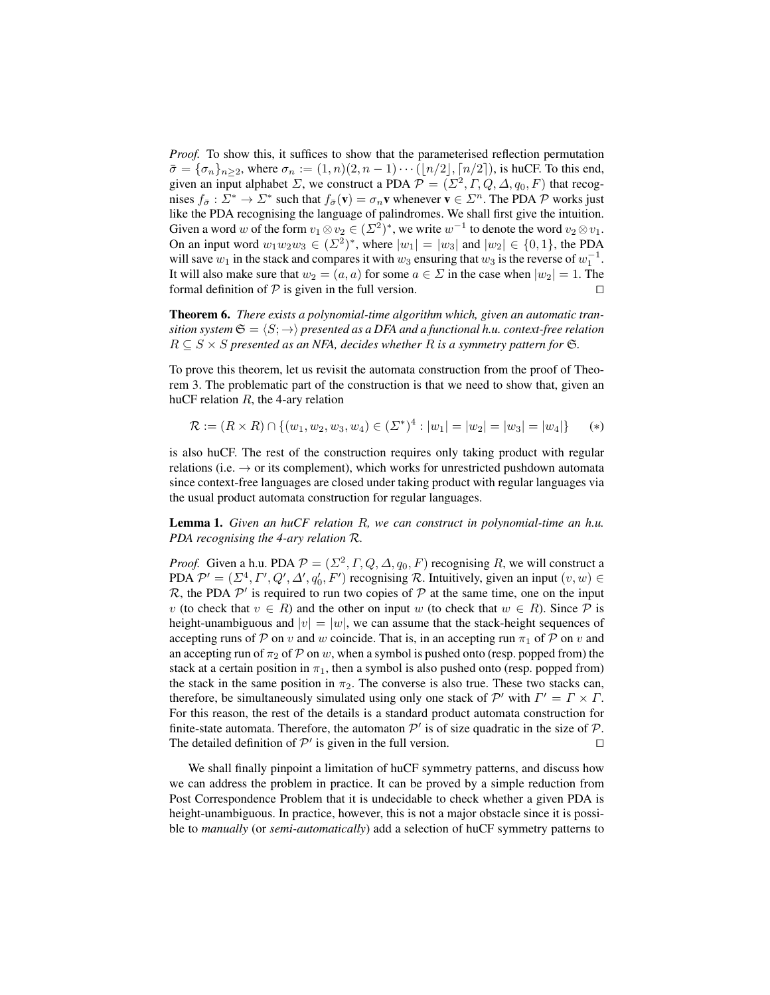*Proof.* To show this, it suffices to show that the parameterised reflection permutation  $\bar{\sigma} = {\sigma_n}_{n \geq 2}$ , where  $\sigma_n := (1, n)(2, n - 1) \cdots (n/2, n/2)$ , is huCF. To this end, given an input alphabet  $\Sigma$ , we construct a PDA  $\mathcal{P} = (\Sigma^2, \Gamma, Q, \Delta, q_0, F)$  that recognises  $f_{\bar{\sigma}}: \Sigma^* \to \Sigma^*$  such that  $f_{\bar{\sigma}}(\mathbf{v}) = \sigma_n \mathbf{v}$  whenever  $\mathbf{v} \in \Sigma^n$ . The PDA  $\mathcal P$  works just like the PDA recognising the language of palindromes. We shall first give the intuition. Given a word w of the form  $v_1 \otimes v_2 \in (\Sigma^2)^*$ , we write  $w^{-1}$  to denote the word  $v_2 \otimes v_1$ . On an input word  $w_1w_2w_3 \in (\Sigma^2)^*$ , where  $|w_1| = |w_3|$  and  $|w_2| \in \{0, 1\}$ , the PDA will save  $w_1$  in the stack and compares it with  $w_3$  ensuring that  $w_3$  is the reverse of  $w_1^{-1}$ . It will also make sure that  $w_2 = (a, a)$  for some  $a \in \Sigma$  in the case when  $|w_2| = 1$ . The formal definition of  $P$  is given in the full version.  $\Box$ 

Theorem 6. *There exists a polynomial-time algorithm which, given an automatic transition system*  $\mathfrak{S} = \langle S; \rightarrow \rangle$  *presented as a DFA and a functional h.u. context-free relation*  $R \subseteq S \times S$  presented as an NFA, decides whether R is a symmetry pattern for G.

To prove this theorem, let us revisit the automata construction from the proof of Theorem 3. The problematic part of the construction is that we need to show that, given an huCF relation  $R$ , the 4-ary relation

$$
\mathcal{R} := (R \times R) \cap \{ (w_1, w_2, w_3, w_4) \in (\Sigma^*)^4 : |w_1| = |w_2| = |w_3| = |w_4| \} \quad (*)
$$

is also huCF. The rest of the construction requires only taking product with regular relations (i.e.  $\rightarrow$  or its complement), which works for unrestricted pushdown automata since context-free languages are closed under taking product with regular languages via the usual product automata construction for regular languages.

Lemma 1. *Given an huCF relation* R*, we can construct in polynomial-time an h.u. PDA recognising the 4-ary relation* R*.*

*Proof.* Given a h.u. PDA  $P = (\Sigma^2, \Gamma, Q, \Delta, q_0, F)$  recognising R, we will construct a PDA  $\mathcal{P}' = (\Sigma^4, \Gamma', Q', \Delta', q'_0, F')$  recognising R. Intuitively, given an input  $(v, w) \in$ R, the PDA  $\mathcal{P}'$  is required to run two copies of  $\mathcal P$  at the same time, one on the input v (to check that  $v \in R$ ) and the other on input w (to check that  $w \in R$ ). Since  $P$  is height-unambiguous and  $|v| = |w|$ , we can assume that the stack-height sequences of accepting runs of P on v and w coincide. That is, in an accepting run  $\pi_1$  of P on v and an accepting run of  $\pi_2$  of P on w, when a symbol is pushed onto (resp. popped from) the stack at a certain position in  $\pi_1$ , then a symbol is also pushed onto (resp. popped from) the stack in the same position in  $\pi_2$ . The converse is also true. These two stacks can, therefore, be simultaneously simulated using only one stack of  $\mathcal{P}'$  with  $\Gamma' = \Gamma \times \Gamma$ . For this reason, the rest of the details is a standard product automata construction for finite-state automata. Therefore, the automaton  $\mathcal{P}'$  is of size quadratic in the size of  $\mathcal{P}$ . The detailed definition of  $\mathcal{P}'$  is given in the full version.

We shall finally pinpoint a limitation of huCF symmetry patterns, and discuss how we can address the problem in practice. It can be proved by a simple reduction from Post Correspondence Problem that it is undecidable to check whether a given PDA is height-unambiguous. In practice, however, this is not a major obstacle since it is possible to *manually* (or *semi-automatically*) add a selection of huCF symmetry patterns to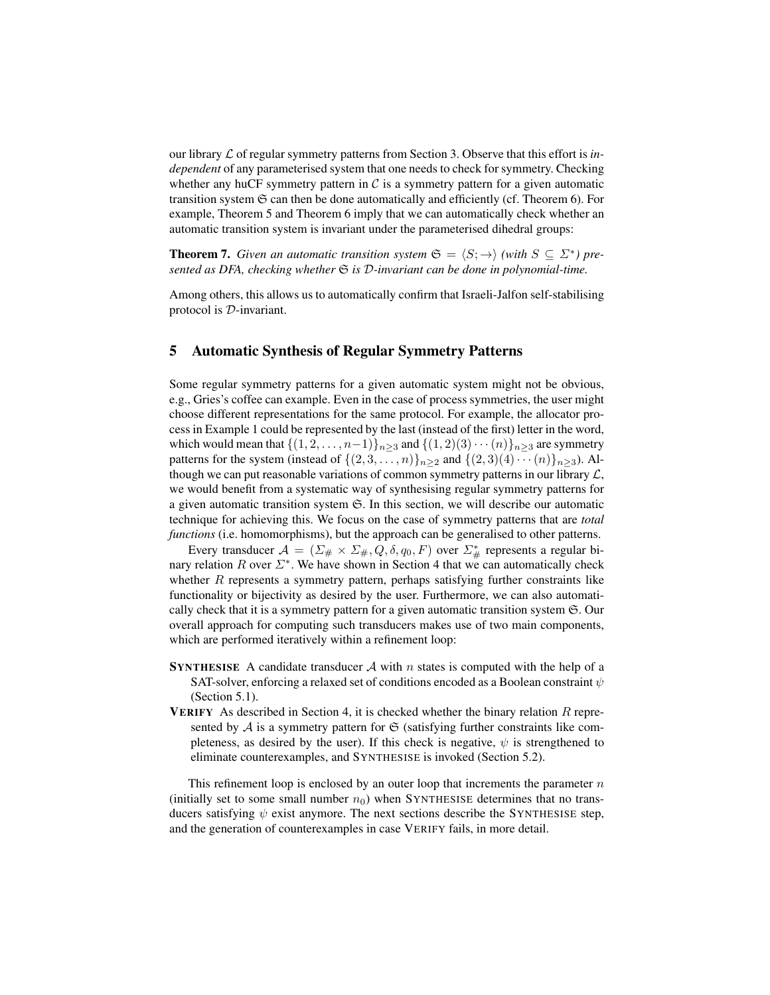our library L of regular symmetry patterns from Section 3. Observe that this effort is *independent* of any parameterised system that one needs to check for symmetry. Checking whether any huCF symmetry pattern in  $\mathcal C$  is a symmetry pattern for a given automatic transition system  $\Im$  can then be done automatically and efficiently (cf. Theorem 6). For example, Theorem 5 and Theorem 6 imply that we can automatically check whether an automatic transition system is invariant under the parameterised dihedral groups:

**Theorem 7.** *Given an automatic transition system*  $\mathfrak{S} = \langle S; \rightarrow \rangle$  *(with*  $S \subseteq \Sigma^*$ *) presented as DFA, checking whether* S *is* D*-invariant can be done in polynomial-time.*

Among others, this allows us to automatically confirm that Israeli-Jalfon self-stabilising protocol is D-invariant.

# 5 Automatic Synthesis of Regular Symmetry Patterns

Some regular symmetry patterns for a given automatic system might not be obvious, e.g., Gries's coffee can example. Even in the case of process symmetries, the user might choose different representations for the same protocol. For example, the allocator process in Example 1 could be represented by the last (instead of the first) letter in the word, which would mean that  $\{(1, 2, \ldots, n-1)\}_n>3$  and  $\{(1, 2)(3) \cdots (n)\}_n>3$  are symmetry patterns for the system (instead of  $\{(2,3,\ldots,n)\}_{n\geq 2}$  and  $\{(2,3)(4)\cdots(n)\}_{n\geq 3}$ ). Although we can put reasonable variations of common symmetry patterns in our library  $\mathcal{L}$ , we would benefit from a systematic way of synthesising regular symmetry patterns for a given automatic transition system  $\mathfrak{S}$ . In this section, we will describe our automatic technique for achieving this. We focus on the case of symmetry patterns that are *total functions* (i.e. homomorphisms), but the approach can be generalised to other patterns.

Every transducer  $\mathcal{A} = (\Sigma_{\#} \times \Sigma_{\#}, Q, \delta, q_0, F)$  over  $\Sigma_{\#}^*$  represents a regular binary relation R over  $\Sigma^*$ . We have shown in Section 4 that we can automatically check whether  $R$  represents a symmetry pattern, perhaps satisfying further constraints like functionality or bijectivity as desired by the user. Furthermore, we can also automatically check that it is a symmetry pattern for a given automatic transition system S. Our overall approach for computing such transducers makes use of two main components, which are performed iteratively within a refinement loop:

- **SYNTHESISE** A candidate transducer A with n states is computed with the help of a SAT-solver, enforcing a relaxed set of conditions encoded as a Boolean constraint  $\psi$ (Section 5.1).
- **VERIFY** As described in Section 4, it is checked whether the binary relation  $R$  represented by  $A$  is a symmetry pattern for  $A$  (satisfying further constraints like completeness, as desired by the user). If this check is negative,  $\psi$  is strengthened to eliminate counterexamples, and SYNTHESISE is invoked (Section 5.2).

This refinement loop is enclosed by an outer loop that increments the parameter  $n$ (initially set to some small number  $n_0$ ) when SYNTHESISE determines that no transducers satisfying  $\psi$  exist anymore. The next sections describe the SYNTHESISE step, and the generation of counterexamples in case VERIFY fails, in more detail.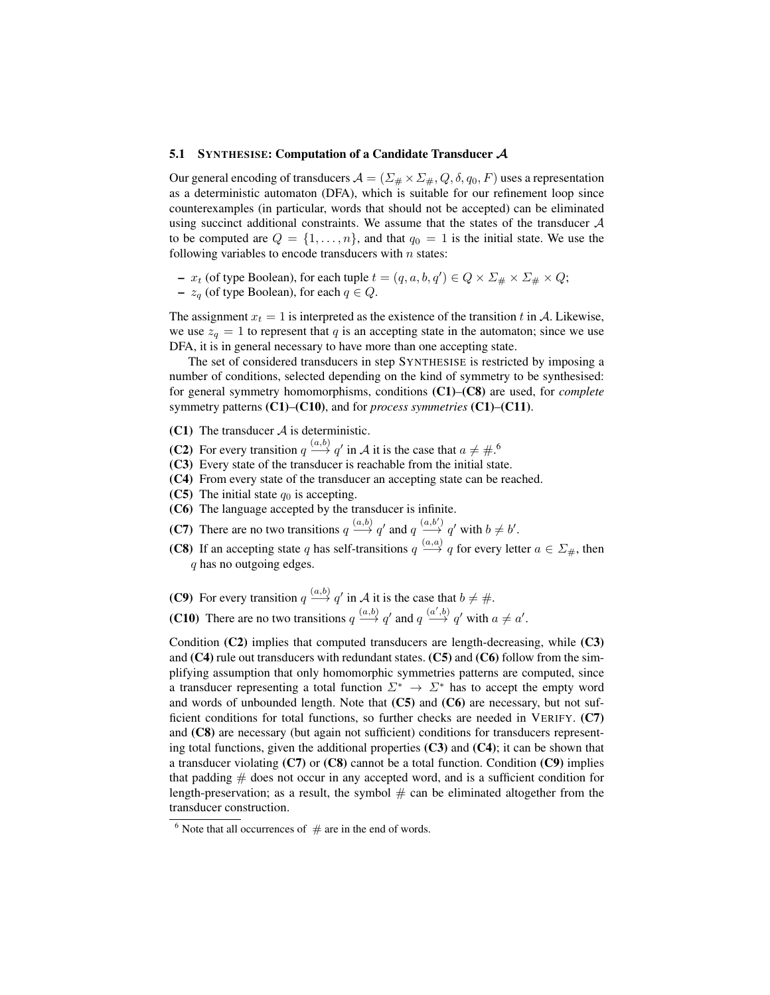#### 5.1 SYNTHESISE: Computation of a Candidate Transducer A

Our general encoding of transducers  $\mathcal{A} = (\Sigma_{\#} \times \Sigma_{\#}, Q, \delta, q_0, F)$  uses a representation as a deterministic automaton (DFA), which is suitable for our refinement loop since counterexamples (in particular, words that should not be accepted) can be eliminated using succinct additional constraints. We assume that the states of the transducer  $A$ to be computed are  $Q = \{1, \ldots, n\}$ , and that  $q_0 = 1$  is the initial state. We use the following variables to encode transducers with  $n$  states:

- $x_t$  (of type Boolean), for each tuple  $t = (q, a, b, q') \in Q \times \Sigma_{\#} \times \Sigma_{\#} \times Q;$
- $z_q$  (of type Boolean), for each  $q \in Q$ .

The assignment  $x_t = 1$  is interpreted as the existence of the transition t in A. Likewise, we use  $z_q = 1$  to represent that q is an accepting state in the automaton; since we use DFA, it is in general necessary to have more than one accepting state.

The set of considered transducers in step SYNTHESISE is restricted by imposing a number of conditions, selected depending on the kind of symmetry to be synthesised: for general symmetry homomorphisms, conditions (C1)–(C8) are used, for *complete* symmetry patterns (C1)–(C10), and for *process symmetries* (C1)–(C11).

- (C1) The transducer  $A$  is deterministic.
- (C2) For every transition  $q \stackrel{(a,b)}{\longrightarrow} q'$  in A it is the case that  $a \neq \#$ .<sup>6</sup>
- (C3) Every state of the transducer is reachable from the initial state.
- (C4) From every state of the transducer an accepting state can be reached.
- (C5) The initial state  $q_0$  is accepting.
- (C6) The language accepted by the transducer is infinite.
- **(C7)** There are no two transitions  $q \xrightarrow{(a,b)} q'$  and  $q \xrightarrow{(a,b')} q'$  with  $b \neq b'$ .
- **(C8)** If an accepting state q has self-transitions  $q \stackrel{(a,a)}{\longrightarrow} q$  for every letter  $a \in \Sigma_{\#}$ , then q has no outgoing edges.

(C9) For every transition  $q \stackrel{(a,b)}{\longrightarrow} q'$  in A it is the case that  $b \neq \#$ . **(C10)** There are no two transitions  $q \xrightarrow{(a,b)} q'$  and  $q \xrightarrow{(a',b)} q'$  with  $a \neq a'$ .

Condition (C2) implies that computed transducers are length-decreasing, while (C3) and  $(C4)$  rule out transducers with redundant states.  $(C5)$  and  $(C6)$  follow from the simplifying assumption that only homomorphic symmetries patterns are computed, since a transducer representing a total function  $\Sigma^* \to \Sigma^*$  has to accept the empty word and words of unbounded length. Note that  $(C5)$  and  $(C6)$  are necessary, but not sufficient conditions for total functions, so further checks are needed in VERIFY. (C7) and (C8) are necessary (but again not sufficient) conditions for transducers representing total functions, given the additional properties  $(C3)$  and  $(C4)$ ; it can be shown that a transducer violating  $(C7)$  or  $(C8)$  cannot be a total function. Condition  $(C9)$  implies that padding  $#$  does not occur in any accepted word, and is a sufficient condition for length-preservation; as a result, the symbol  $#$  can be eliminated altogether from the transducer construction.

 $6$  Note that all occurrences of  $#$  are in the end of words.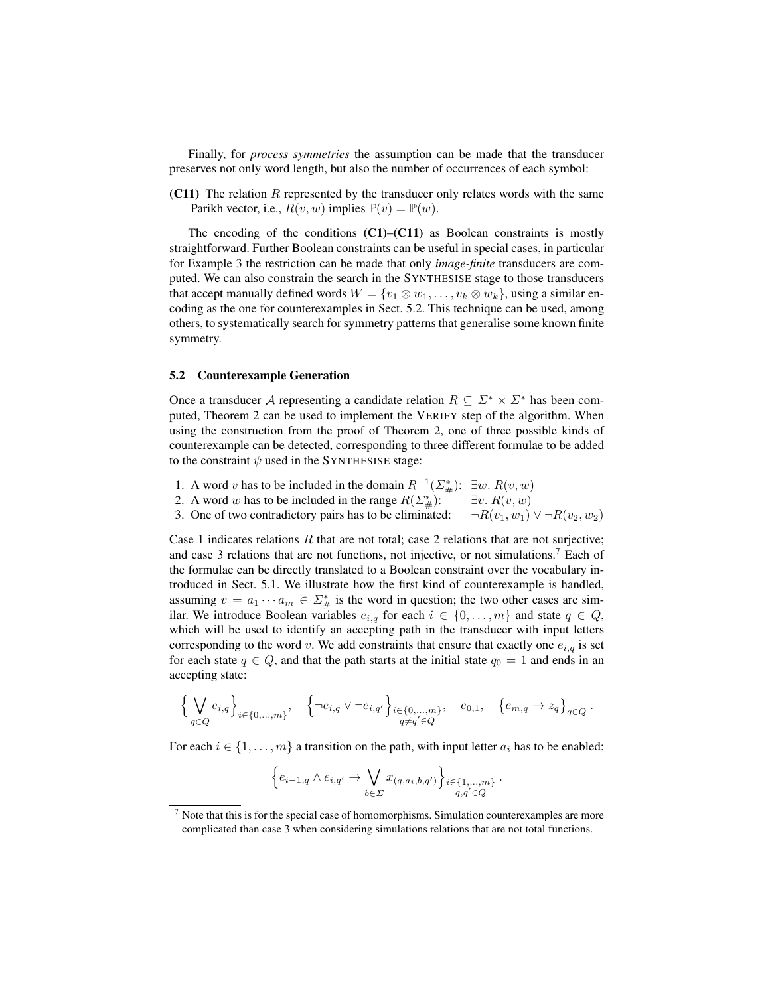Finally, for *process symmetries* the assumption can be made that the transducer preserves not only word length, but also the number of occurrences of each symbol:

(C11) The relation  $R$  represented by the transducer only relates words with the same Parikh vector, i.e.,  $R(v, w)$  implies  $\mathbb{P}(v) = \mathbb{P}(w)$ .

The encoding of the conditions  $(C1)$ – $(C11)$  as Boolean constraints is mostly straightforward. Further Boolean constraints can be useful in special cases, in particular for Example 3 the restriction can be made that only *image-finite* transducers are computed. We can also constrain the search in the SYNTHESISE stage to those transducers that accept manually defined words  $W = \{v_1 \otimes w_1, \ldots, v_k \otimes w_k\}$ , using a similar encoding as the one for counterexamples in Sect. 5.2. This technique can be used, among others, to systematically search for symmetry patterns that generalise some known finite symmetry.

#### 5.2 Counterexample Generation

Once a transducer A representing a candidate relation  $R \subseteq \Sigma^* \times \Sigma^*$  has been computed, Theorem 2 can be used to implement the VERIFY step of the algorithm. When using the construction from the proof of Theorem 2, one of three possible kinds of counterexample can be detected, corresponding to three different formulae to be added to the constraint  $\psi$  used in the SYNTHESISE stage:

- 1. A word v has to be included in the domain  $R^{-1}(\Sigma_{\#}^*)$ :  $\exists w. R(v, w)$
- 2. A word w has to be included in the range  $R(\Sigma_{\#}^*)$ :  $\Box v$ .  $R(v, w)$
- 3. One of two contradictory pairs has to be eliminated:  $\neg R(v_1, w_1) \lor \neg R(v_2, w_2)$

Case 1 indicates relations  $R$  that are not total; case 2 relations that are not surjective; and case 3 relations that are not functions, not injective, or not simulations.<sup>7</sup> Each of the formulae can be directly translated to a Boolean constraint over the vocabulary introduced in Sect. 5.1. We illustrate how the first kind of counterexample is handled, assuming  $v = a_1 \cdots a_m \in \Sigma_{\#}^*$  is the word in question; the two other cases are similar. We introduce Boolean variables  $e_{i,q}$  for each  $i \in \{0, \ldots, m\}$  and state  $q \in Q$ , which will be used to identify an accepting path in the transducer with input letters corresponding to the word v. We add constraints that ensure that exactly one  $e_{i,q}$  is set for each state  $q \in Q$ , and that the path starts at the initial state  $q_0 = 1$  and ends in an accepting state:

$$
\Big\{\bigvee_{q\in Q}e_{i,q}\Big\}_{i\in\{0,...,m\}},\quad \Big\{\neg e_{i,q}\vee\neg e_{i,q'}\Big\}_{i\in\{0,...,m\}},\quad e_{0,1},\quad \big\{e_{m,q}\to z_q\big\}_{q\in Q}\,.
$$

For each  $i \in \{1, \ldots, m\}$  a transition on the path, with input letter  $a_i$  has to be enabled:

$$
\left\{e_{i-1,q}\wedge e_{i,q'}\to \bigvee_{b\in\Sigma} x_{(q,a_i,b,q')}\right\}_{i\in\{1,\ldots,m\}}.
$$

 $<sup>7</sup>$  Note that this is for the special case of homomorphisms. Simulation counterexamples are more</sup> complicated than case 3 when considering simulations relations that are not total functions.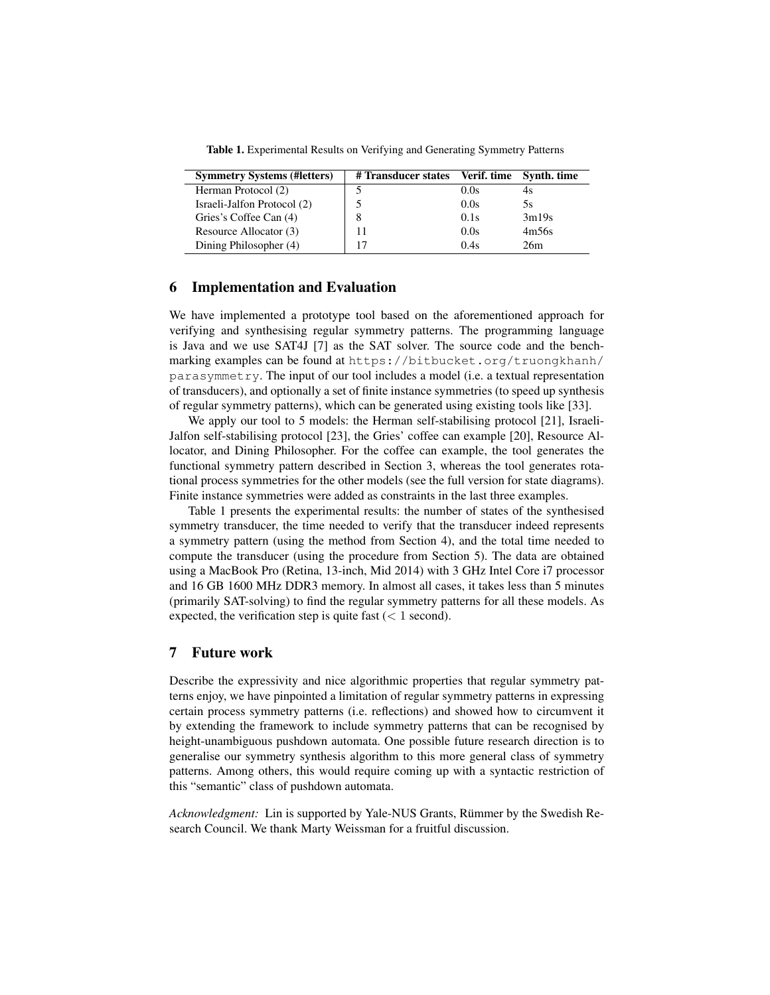Table 1. Experimental Results on Verifying and Generating Symmetry Patterns

| <b>Symmetry Systems (#letters)</b> | # Transducer states Verif. time Synth. time |      |       |
|------------------------------------|---------------------------------------------|------|-------|
| Herman Protocol (2)                |                                             | 0.0s | 4s    |
| Israeli-Jalfon Protocol (2)        |                                             | 0.0s | 5s    |
| Gries's Coffee Can (4)             | 8                                           | 0.1s | 3m19s |
| Resource Allocator (3)             |                                             | 0.0s | 4m56s |
| Dining Philosopher (4)             |                                             | 0.4s | 26m   |

# 6 Implementation and Evaluation

We have implemented a prototype tool based on the aforementioned approach for verifying and synthesising regular symmetry patterns. The programming language is Java and we use SAT4J [7] as the SAT solver. The source code and the benchmarking examples can be found at https://bitbucket.org/truongkhanh/ parasymmetry. The input of our tool includes a model (i.e. a textual representation of transducers), and optionally a set of finite instance symmetries (to speed up synthesis of regular symmetry patterns), which can be generated using existing tools like [33].

We apply our tool to 5 models: the Herman self-stabilising protocol [21], Israeli-Jalfon self-stabilising protocol [23], the Gries' coffee can example [20], Resource Allocator, and Dining Philosopher. For the coffee can example, the tool generates the functional symmetry pattern described in Section 3, whereas the tool generates rotational process symmetries for the other models (see the full version for state diagrams). Finite instance symmetries were added as constraints in the last three examples.

Table 1 presents the experimental results: the number of states of the synthesised symmetry transducer, the time needed to verify that the transducer indeed represents a symmetry pattern (using the method from Section 4), and the total time needed to compute the transducer (using the procedure from Section 5). The data are obtained using a MacBook Pro (Retina, 13-inch, Mid 2014) with 3 GHz Intel Core i7 processor and 16 GB 1600 MHz DDR3 memory. In almost all cases, it takes less than 5 minutes (primarily SAT-solving) to find the regular symmetry patterns for all these models. As expected, the verification step is quite fast  $(< 1$  second).

# 7 Future work

Describe the expressivity and nice algorithmic properties that regular symmetry patterns enjoy, we have pinpointed a limitation of regular symmetry patterns in expressing certain process symmetry patterns (i.e. reflections) and showed how to circumvent it by extending the framework to include symmetry patterns that can be recognised by height-unambiguous pushdown automata. One possible future research direction is to generalise our symmetry synthesis algorithm to this more general class of symmetry patterns. Among others, this would require coming up with a syntactic restriction of this "semantic" class of pushdown automata.

*Acknowledgment:* Lin is supported by Yale-NUS Grants, Rümmer by the Swedish Research Council. We thank Marty Weissman for a fruitful discussion.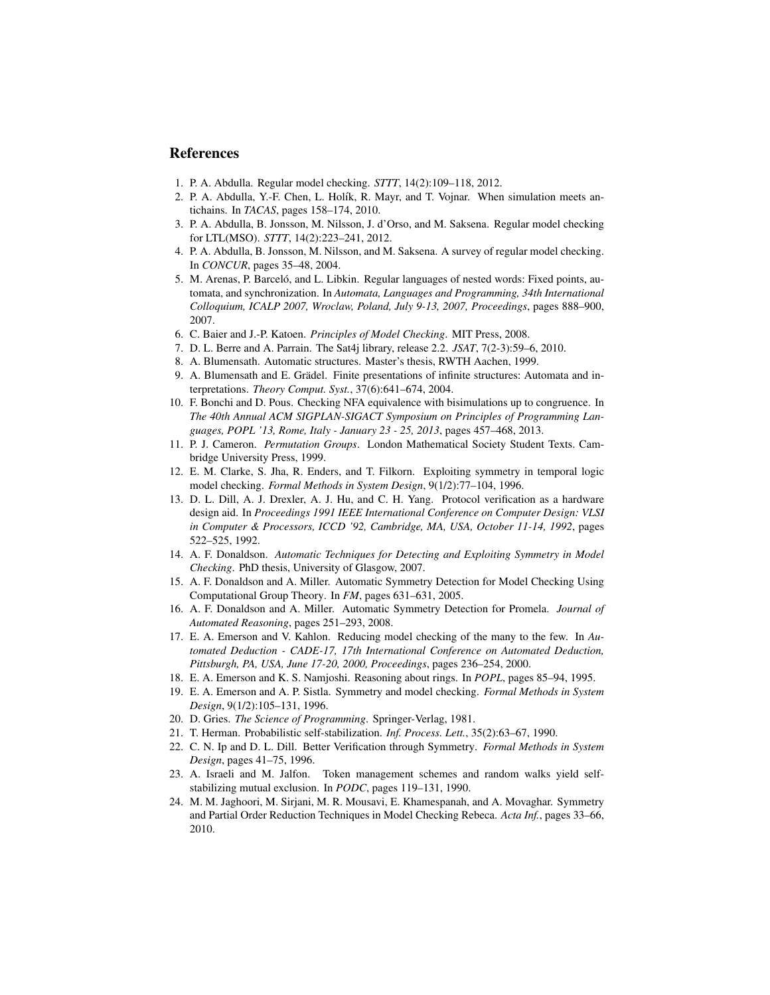# References

- 1. P. A. Abdulla. Regular model checking. *STTT*, 14(2):109–118, 2012.
- 2. P. A. Abdulla, Y.-F. Chen, L. Holík, R. Mayr, and T. Vojnar. When simulation meets antichains. In *TACAS*, pages 158–174, 2010.
- 3. P. A. Abdulla, B. Jonsson, M. Nilsson, J. d'Orso, and M. Saksena. Regular model checking for LTL(MSO). *STTT*, 14(2):223–241, 2012.
- 4. P. A. Abdulla, B. Jonsson, M. Nilsson, and M. Saksena. A survey of regular model checking. In *CONCUR*, pages 35–48, 2004.
- 5. M. Arenas, P. Barceló, and L. Libkin. Regular languages of nested words: Fixed points, automata, and synchronization. In *Automata, Languages and Programming, 34th International Colloquium, ICALP 2007, Wroclaw, Poland, July 9-13, 2007, Proceedings*, pages 888–900, 2007.
- 6. C. Baier and J.-P. Katoen. *Principles of Model Checking*. MIT Press, 2008.
- 7. D. L. Berre and A. Parrain. The Sat4j library, release 2.2. *JSAT*, 7(2-3):59–6, 2010.
- 8. A. Blumensath. Automatic structures. Master's thesis, RWTH Aachen, 1999.
- 9. A. Blumensath and E. Grädel. Finite presentations of infinite structures: Automata and interpretations. *Theory Comput. Syst.*, 37(6):641–674, 2004.
- 10. F. Bonchi and D. Pous. Checking NFA equivalence with bisimulations up to congruence. In *The 40th Annual ACM SIGPLAN-SIGACT Symposium on Principles of Programming Languages, POPL '13, Rome, Italy - January 23 - 25, 2013*, pages 457–468, 2013.
- 11. P. J. Cameron. *Permutation Groups*. London Mathematical Society Student Texts. Cambridge University Press, 1999.
- 12. E. M. Clarke, S. Jha, R. Enders, and T. Filkorn. Exploiting symmetry in temporal logic model checking. *Formal Methods in System Design*, 9(1/2):77–104, 1996.
- 13. D. L. Dill, A. J. Drexler, A. J. Hu, and C. H. Yang. Protocol verification as a hardware design aid. In *Proceedings 1991 IEEE International Conference on Computer Design: VLSI in Computer & Processors, ICCD '92, Cambridge, MA, USA, October 11-14, 1992*, pages 522–525, 1992.
- 14. A. F. Donaldson. *Automatic Techniques for Detecting and Exploiting Symmetry in Model Checking*. PhD thesis, University of Glasgow, 2007.
- 15. A. F. Donaldson and A. Miller. Automatic Symmetry Detection for Model Checking Using Computational Group Theory. In *FM*, pages 631–631, 2005.
- 16. A. F. Donaldson and A. Miller. Automatic Symmetry Detection for Promela. *Journal of Automated Reasoning*, pages 251–293, 2008.
- 17. E. A. Emerson and V. Kahlon. Reducing model checking of the many to the few. In *Automated Deduction - CADE-17, 17th International Conference on Automated Deduction, Pittsburgh, PA, USA, June 17-20, 2000, Proceedings*, pages 236–254, 2000.
- 18. E. A. Emerson and K. S. Namjoshi. Reasoning about rings. In *POPL*, pages 85–94, 1995.
- 19. E. A. Emerson and A. P. Sistla. Symmetry and model checking. *Formal Methods in System Design*, 9(1/2):105–131, 1996.
- 20. D. Gries. *The Science of Programming*. Springer-Verlag, 1981.
- 21. T. Herman. Probabilistic self-stabilization. *Inf. Process. Lett.*, 35(2):63–67, 1990.
- 22. C. N. Ip and D. L. Dill. Better Verification through Symmetry. *Formal Methods in System Design*, pages 41–75, 1996.
- 23. A. Israeli and M. Jalfon. Token management schemes and random walks yield selfstabilizing mutual exclusion. In *PODC*, pages 119–131, 1990.
- 24. M. M. Jaghoori, M. Sirjani, M. R. Mousavi, E. Khamespanah, and A. Movaghar. Symmetry and Partial Order Reduction Techniques in Model Checking Rebeca. *Acta Inf.*, pages 33–66, 2010.